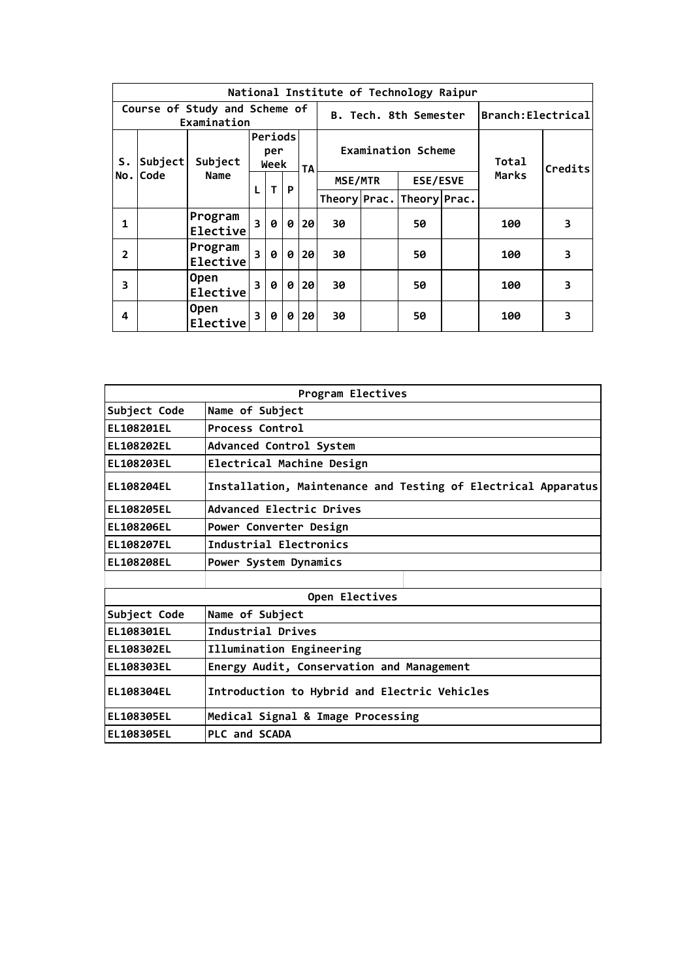|                |         |                                              |                         |                        |   |           |                            |  | National Institute of Technology Raipur |                    |       |         |
|----------------|---------|----------------------------------------------|-------------------------|------------------------|---|-----------|----------------------------|--|-----------------------------------------|--------------------|-------|---------|
|                |         | Course of Study and Scheme of<br>Examination |                         |                        |   |           |                            |  | B. Tech. 8th Semester                   | Branch: Electrical |       |         |
| S.             | Subject | Subject                                      |                         | Periods<br>per<br>Week |   | <b>TA</b> |                            |  | Examination Scheme                      |                    | Total | Credits |
| No.l           | Code    | Name                                         |                         | T                      |   |           | MSE/MTR<br><b>ESE/ESVE</b> |  | Marks                                   |                    |       |         |
|                |         | L<br>P                                       |                         |                        |   |           |                            |  | Theory Prac. Theory Prac.               |                    |       |         |
| 1              |         | Program<br>Elective                          | $\overline{\mathbf{3}}$ | 0                      | 0 | 20        | 30                         |  | 50                                      |                    | 100   | 3       |
| $\overline{2}$ |         | Program<br>Elective                          | $\overline{\mathbf{3}}$ | 0                      | 0 | 20        | 30                         |  | 50                                      |                    | 100   | 3       |
| 3              |         | <b>Open</b><br>Elective                      | 3                       | ø                      | 0 | 20        | 30                         |  | 50                                      |                    | 100   | 3       |
| 4              |         | <b>Open</b><br>Elective                      | 3                       | ø                      | 0 | 20        | 30                         |  | 50                                      |                    | 100   | 3       |

|                   | Program Electives                                             |
|-------------------|---------------------------------------------------------------|
| Subject Code      | Name of Subject                                               |
| <b>EL108201EL</b> | Process Control                                               |
| <b>EL108202EL</b> | Advanced Control System                                       |
| <b>EL108203EL</b> | Electrical Machine Design                                     |
| <b>EL108204EL</b> | Installation, Maintenance and Testing of Electrical Apparatus |
| <b>EL108205EL</b> | Advanced Electric Drives                                      |
| <b>EL108206EL</b> | Power Converter Design                                        |
| <b>EL108207EL</b> | Industrial Electronics                                        |
| <b>EL108208EL</b> | Power System Dynamics                                         |
|                   |                                                               |
|                   | Open Electives                                                |
| Subject Code      | Name of Subject                                               |
| EL108301EL        | Industrial Drives                                             |
| <b>EL108302EL</b> | Illumination Engineering                                      |
| EL108303EL        | Energy Audit, Conservation and Management                     |
| <b>EL108304EL</b> | Introduction to Hybrid and Electric Vehicles                  |
| <b>EL108305EL</b> | Medical Signal & Image Processing                             |
| EL108305EL        | PLC and SCADA                                                 |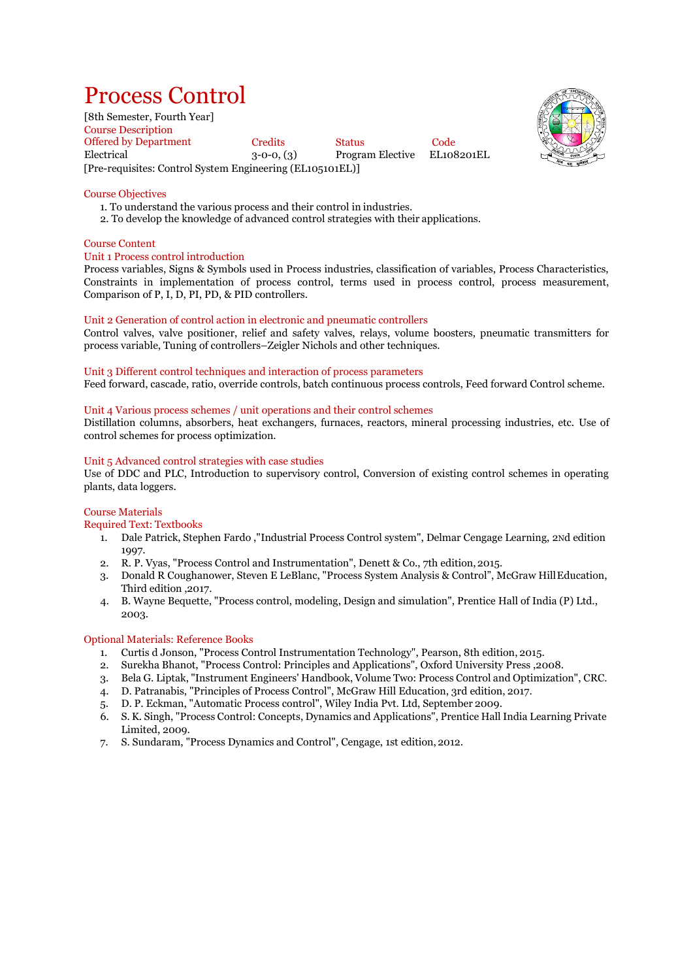# Process Control

[8th Semester, Fourth Year] Course Description Offered by Department Credits Status Code<br>
Electrical 3-0-0. (3) Program Elective EL108201EL  $3-0-0$ ,  $(3)$  Program Elective [Pre-requisites: Control System Engineering (EL105101EL)]



## Course Objectives

- 1. To understand the various process and their control in industries.
- 2. To develop the knowledge of advanced control strategies with their applications.

## Course Content

## Unit 1 Process control introduction

Process variables, Signs & Symbols used in Process industries, classification of variables, Process Characteristics, Constraints in implementation of process control, terms used in process control, process measurement, Comparison of P, I, D, PI, PD, & PID controllers.

## Unit 2 Generation of control action in electronic and pneumatic controllers

Control valves, valve positioner, relief and safety valves, relays, volume boosters, pneumatic transmitters for process variable, Tuning of controllers–Zeigler Nichols and other techniques.

## Unit 3 Different control techniques and interaction of process parameters

Feed forward, cascade, ratio, override controls, batch continuous process controls, Feed forward Control scheme.

## Unit 4 Various process schemes / unit operations and their control schemes

Distillation columns, absorbers, heat exchangers, furnaces, reactors, mineral processing industries, etc. Use of control schemes for process optimization.

## Unit 5 Advanced control strategies with case studies

Use of DDC and PLC, Introduction to supervisory control, Conversion of existing control schemes in operating plants, data loggers.

## Course Materials

Required Text: Textbooks

- 1. Dale Patrick, Stephen Fardo ,"Industrial Process Control system", Delmar Cengage Learning, 2Nd edition 1997.
- 2. R. P. Vyas, "Process Control and Instrumentation", Denett & Co., 7th edition,2015.
- 3. Donald R Coughanower, Steven E LeBlanc, "Process System Analysis & Control", McGraw HillEducation, Third edition ,2017.
- 4. B. Wayne Bequette, "Process control, modeling, Design and simulation", Prentice Hall of India (P) Ltd., 2003.

## Optional Materials: Reference Books

- 1. Curtis d Jonson, "Process Control Instrumentation Technology", Pearson, 8th edition, 2015.
- 2. Surekha Bhanot, "Process Control: Principles and Applications", Oxford University Press ,2008.
- 3. Bela G. Liptak, "Instrument Engineers' Handbook, Volume Two: Process Control and Optimization", CRC.
- 4. D. Patranabis, "Principles of Process Control", McGraw Hill Education, 3rd edition, 2017.
- 5. D. P. Eckman, "Automatic Process control", Wiley India Pvt. Ltd, September 2009.
- 6. S. K. Singh, "Process Control: Concepts, Dynamics and Applications", Prentice Hall India Learning Private Limited, 2009.
- 7. S. Sundaram, "Process Dynamics and Control", Cengage, 1st edition, 2012.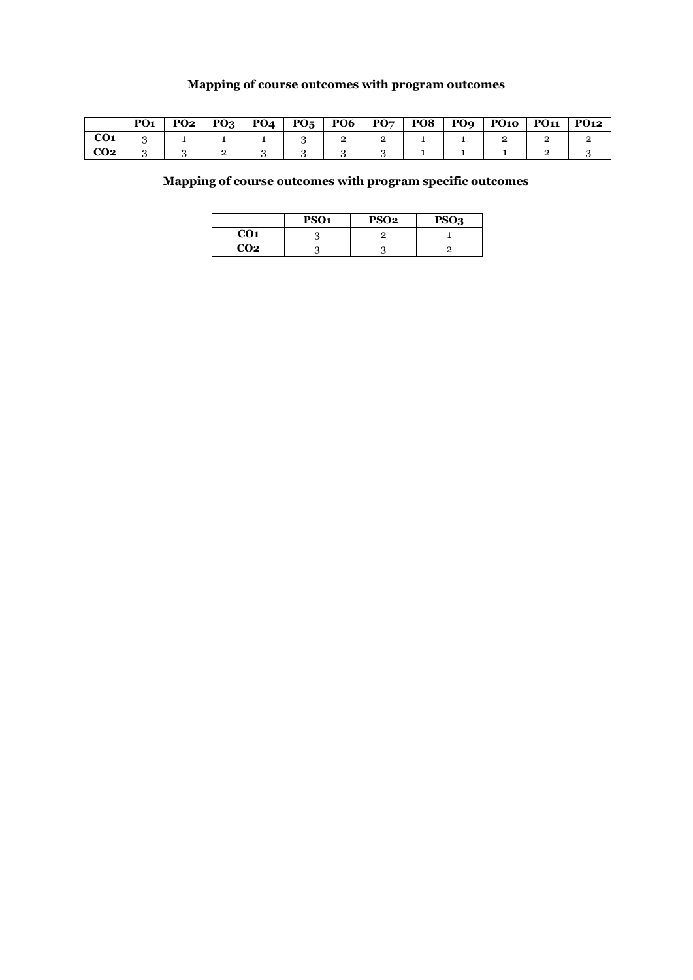## **Mapping of course outcomes with program outcomes**

|                 | PO <sub>1</sub> | <b>PO2</b> | $PQ_3$ PO <sub>4</sub> |  |  | PO5   PO6   PO7   PO8   PO9   PO10   PO11 | <b>PO12</b> |
|-----------------|-----------------|------------|------------------------|--|--|-------------------------------------------|-------------|
| CO <sub>1</sub> |                 |            |                        |  |  |                                           |             |
| CO <sub>2</sub> |                 |            |                        |  |  |                                           |             |

## **Mapping of course outcomes with program specific outcomes**

|                 | PSO <sub>1</sub> | <b>PSO2</b> | PSO <sub>3</sub> |
|-----------------|------------------|-------------|------------------|
| <b>CO1</b>      |                  |             |                  |
| CO <sub>2</sub> |                  |             |                  |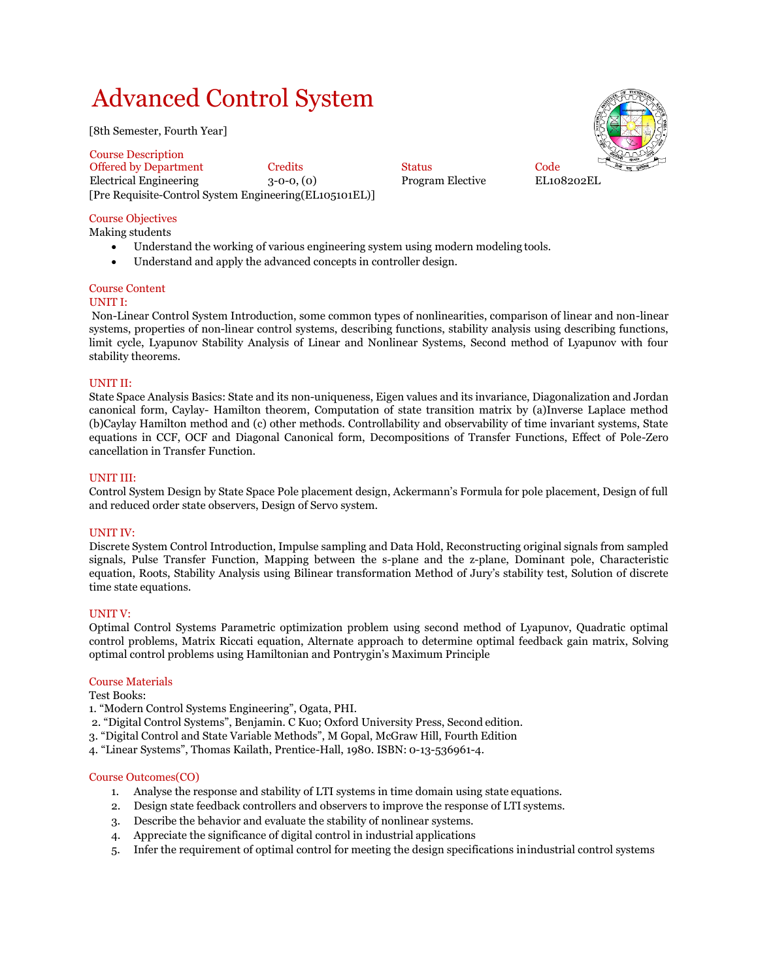# Advanced Control System

[8th Semester, Fourth Year]

Course Description Offered by Department Credits Code Status Code Electrical Engineering 3-0-0, (0) Program Elective EL108202EL [Pre Requisite-Control System Engineering(EL105101EL)]



## Course Objectives

Making students

- Understand the working of various engineering system using modern modeling tools.
- Understand and apply the advanced concepts in controller design.

## Course Content

## UNIT I:

Non-Linear Control System Introduction, some common types of nonlinearities, comparison of linear and non-linear systems, properties of non-linear control systems, describing functions, stability analysis using describing functions, limit cycle, Lyapunov Stability Analysis of Linear and Nonlinear Systems, Second method of Lyapunov with four stability theorems.

## UNIT II:

State Space Analysis Basics: State and its non-uniqueness, Eigen values and its invariance, Diagonalization and Jordan canonical form, Caylay- Hamilton theorem, Computation of state transition matrix by (a)Inverse Laplace method (b)Caylay Hamilton method and (c) other methods. Controllability and observability of time invariant systems, State equations in CCF, OCF and Diagonal Canonical form, Decompositions of Transfer Functions, Effect of Pole-Zero cancellation in Transfer Function.

## UNIT III:

Control System Design by State Space Pole placement design, Ackermann's Formula for pole placement, Design of full and reduced order state observers, Design of Servo system.

## UNIT IV:

Discrete System Control Introduction, Impulse sampling and Data Hold, Reconstructing original signals from sampled signals, Pulse Transfer Function, Mapping between the s-plane and the z-plane, Dominant pole, Characteristic equation, Roots, Stability Analysis using Bilinear transformation Method of Jury's stability test, Solution of discrete time state equations.

## UNIT V:

Optimal Control Systems Parametric optimization problem using second method of Lyapunov, Quadratic optimal control problems, Matrix Riccati equation, Alternate approach to determine optimal feedback gain matrix, Solving optimal control problems using Hamiltonian and Pontrygin's Maximum Principle

## Course Materials

Test Books:

1. "Modern Control Systems Engineering", Ogata, PHI.

- 2. "Digital Control Systems", Benjamin. C Kuo; Oxford University Press, Second edition.
- 3. "Digital Control and State Variable Methods", M Gopal, McGraw Hill, Fourth Edition
- 4. "Linear Systems", Thomas Kailath, Prentice-Hall, 1980. ISBN: 0-13-536961-4.

## Course Outcomes(CO)

- 1. Analyse the response and stability of LTI systems in time domain using state equations.
- 2. Design state feedback controllers and observers to improve the response of LTI systems.
- 3. Describe the behavior and evaluate the stability of nonlinear systems.
- 4. Appreciate the significance of digital control in industrial applications
- 5. Infer the requirement of optimal control for meeting the design specifications inindustrial control systems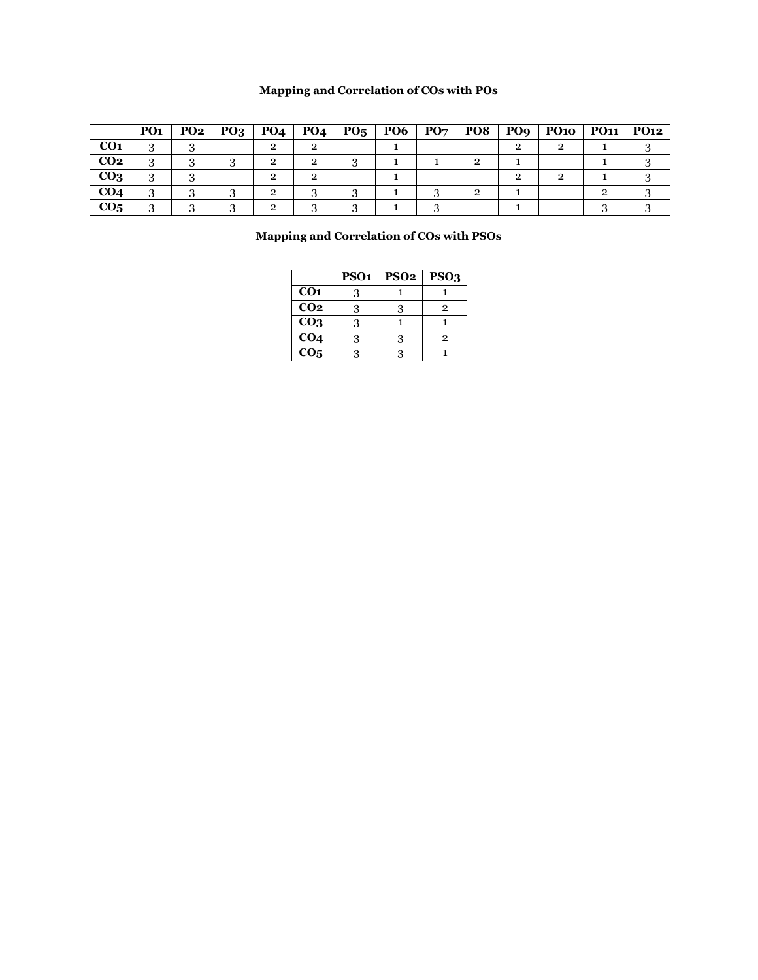## **Mapping and Correlation of COs with POs**

|                 | PO <sub>1</sub> | PO2 | PO <sub>3</sub> | PO <sub>4</sub> | PO <sub>4</sub> | $P_{05}$ | <b>PO6</b> | PO7 | PO8 | PO <sub>9</sub> | <b>PO10</b> | <b>PO11</b> | <b>PO12</b> |
|-----------------|-----------------|-----|-----------------|-----------------|-----------------|----------|------------|-----|-----|-----------------|-------------|-------------|-------------|
| CO <sub>1</sub> |                 |     |                 |                 |                 |          |            |     |     |                 |             |             |             |
| CO <sub>2</sub> | 3               |     |                 | 2               | ົ               |          |            |     |     |                 |             |             |             |
| CO <sub>3</sub> | .,              |     |                 |                 |                 |          |            |     |     |                 |             |             |             |
| CO <sub>4</sub> | o<br>۰Ć,        |     | ◠               | $\overline{2}$  |                 |          |            |     | ີ   |                 |             |             |             |
| CO <sub>5</sub> |                 |     |                 | റ               |                 |          |            |     |     |                 |             |             |             |

## **Mapping and Correlation of COs with PSOs**

|                   | PSO <sub>1</sub> | PSO <sub>2</sub> | PSO <sub>3</sub> |
|-------------------|------------------|------------------|------------------|
| CO <sub>1</sub>   | 3                |                  |                  |
| CO <sub>2</sub>   | 3                | 3                | $\mathbf{2}$     |
| CO <sub>3</sub>   | 3                |                  |                  |
| $\overline{CO4}$  | 3                | 3                | 2                |
| $\overline{CO_5}$ | વ                | 2                |                  |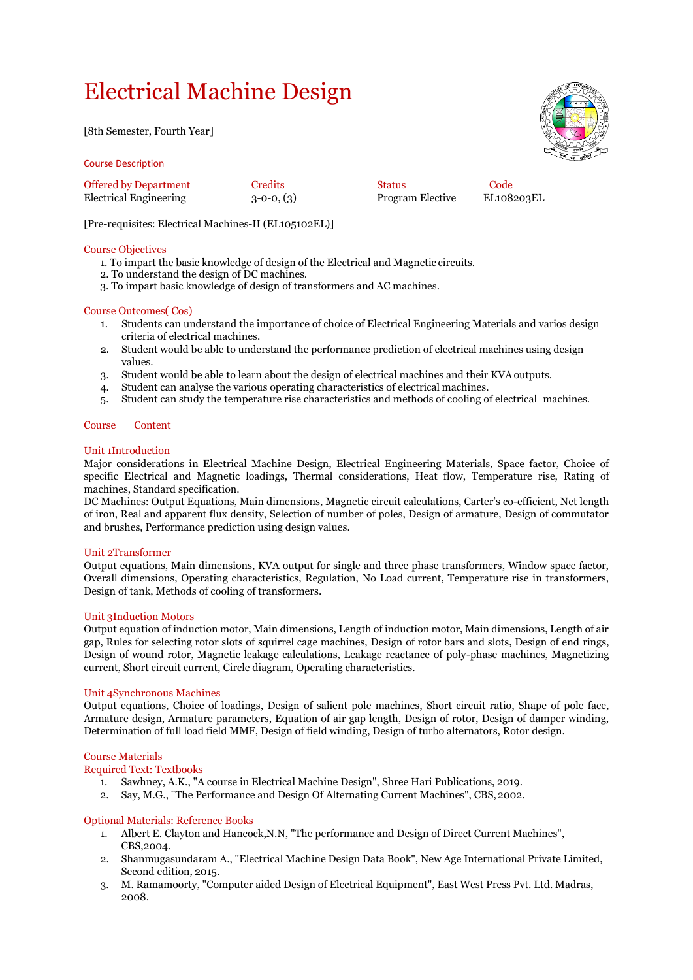# Electrical Machine Design

[8th Semester, Fourth Year]

Course Description

| <b>Offered by Department</b>  | Credits      | <b>Status</b>           | Code         |
|-------------------------------|--------------|-------------------------|--------------|
| <b>Electrical Engineering</b> | $3-0-0, (3)$ | <b>Program Elective</b> | <b>EL108</b> |

3-0-0, (3) Program Elective EL108203EL

[Pre-requisites: Electrical Machines-II (EL105102EL)]

## Course Objectives

- 1. To impart the basic knowledge of design of the Electrical and Magnetic circuits.
- 2. To understand the design of DC machines.
- 3. To impart basic knowledge of design of transformers and AC machines.

## Course Outcomes( Cos)

- 1. Students can understand the importance of choice of Electrical Engineering Materials and varios design criteria of electrical machines.
- 2. Student would be able to understand the performance prediction of electrical machines using design values.
- 3. Student would be able to learn about the design of electrical machines and their KVAoutputs.
- 4. Student can analyse the various operating characteristics of electrical machines.
- 5. Student can study the temperature rise characteristics and methods of cooling of electrical machines.

## Course Content

## Unit 1Introduction

Major considerations in Electrical Machine Design, Electrical Engineering Materials, Space factor, Choice of specific Electrical and Magnetic loadings, Thermal considerations, Heat flow, Temperature rise, Rating of machines, Standard specification.

DC Machines: Output Equations, Main dimensions, Magnetic circuit calculations, Carter's co-efficient, Net length of iron, Real and apparent flux density, Selection of number of poles, Design of armature, Design of commutator and brushes, Performance prediction using design values.

## Unit 2Transformer

Output equations, Main dimensions, KVA output for single and three phase transformers, Window space factor, Overall dimensions, Operating characteristics, Regulation, No Load current, Temperature rise in transformers, Design of tank, Methods of cooling of transformers.

## Unit 3Induction Motors

Output equation of induction motor, Main dimensions, Length of induction motor, Main dimensions, Length of air gap, Rules for selecting rotor slots of squirrel cage machines, Design of rotor bars and slots, Design of end rings, Design of wound rotor, Magnetic leakage calculations, Leakage reactance of poly-phase machines, Magnetizing current, Short circuit current, Circle diagram, Operating characteristics.

## Unit 4Synchronous Machines

Output equations, Choice of loadings, Design of salient pole machines, Short circuit ratio, Shape of pole face, Armature design, Armature parameters, Equation of air gap length, Design of rotor, Design of damper winding, Determination of full load field MMF, Design of field winding, Design of turbo alternators, Rotor design.

## Course Materials

Required Text: Textbooks

- 1. Sawhney, A.K., "A course in Electrical Machine Design", Shree Hari Publications, 2019.
- 2. Say, M.G., "The Performance and Design Of Alternating Current Machines", CBS,2002.

## Optional Materials: Reference Books

- 1. Albert E. Clayton and Hancock,N.N, "The performance and Design of Direct Current Machines", CBS,2004.
- 2. Shanmugasundaram A., "Electrical Machine Design Data Book", New Age International Private Limited, Second edition, 2015.
- 3. M. Ramamoorty, "Computer aided Design of Electrical Equipment", East West Press Pvt. Ltd. Madras, 2008.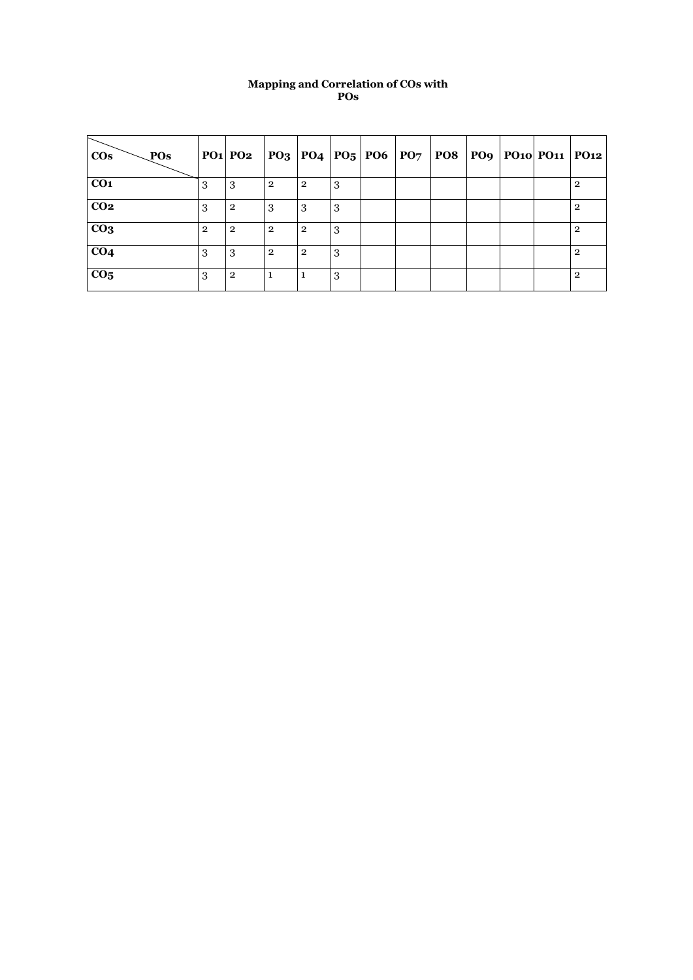## **Mapping and Correlation of COs with POs**

| POs<br>$\cos$   |                | $PO1$ $PO2$    |                |                |    |  |  | $ PQ_3 PQ_4 PQ_5 PO6 PQ_7 PO8 PQ_9 PQ_{10} PQ_{11} PQ_{12}$ |                |
|-----------------|----------------|----------------|----------------|----------------|----|--|--|-------------------------------------------------------------|----------------|
| CO <sub>1</sub> | З              | 3              | $\overline{2}$ | $\overline{2}$ | 3  |  |  |                                                             | $\mathbf{2}$   |
| CO <sub>2</sub> | 3              | $\overline{2}$ | 3              | 3              | -3 |  |  |                                                             | $\overline{2}$ |
| CO <sub>3</sub> | $\overline{2}$ | $\overline{2}$ | $\overline{2}$ | $\overline{2}$ | 3  |  |  |                                                             | $\overline{2}$ |
| CO <sub>4</sub> | 3              | 3              | $\overline{2}$ | $\overline{2}$ | -3 |  |  |                                                             | $\overline{2}$ |
| CO <sub>5</sub> | 3              | $\overline{2}$ |                |                | 3  |  |  |                                                             | $\overline{2}$ |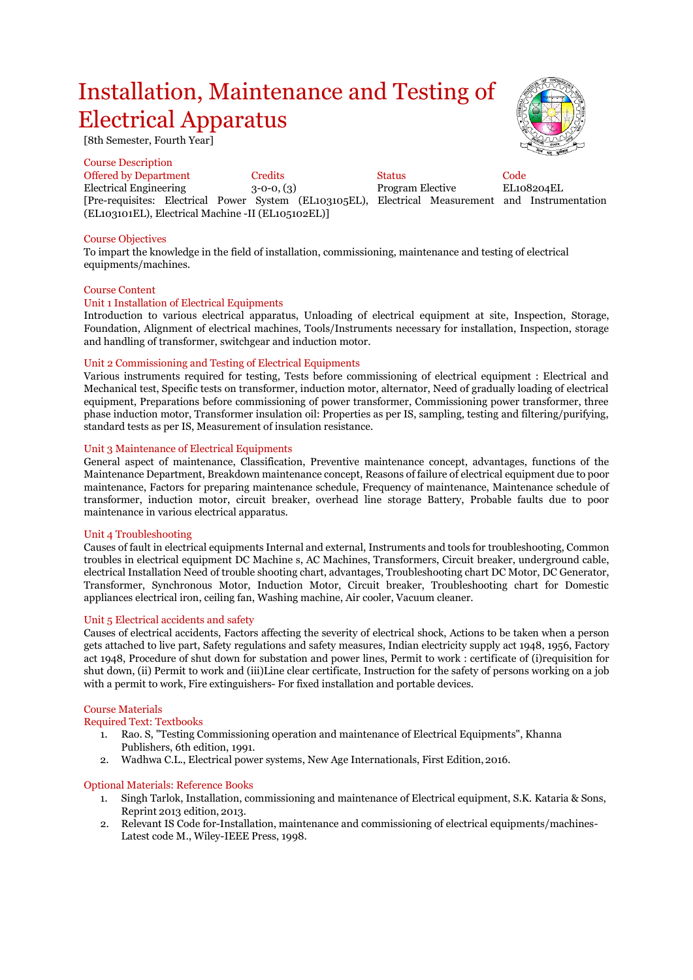## Installation, Maintenance and Testing of Electrical Apparatus

[8th Semester, Fourth Year]

Course Description

Offered by Department Credits Status Code Electrical Engineering 3-0-0, (3) Program Elective EL108204EL [Pre-requisites: Electrical Power System (EL103105EL), Electrical Measurement and Instrumentation (EL103101EL), Electrical Machine -II (EL105102EL)]

## Course Objectives

To impart the knowledge in the field of installation, commissioning, maintenance and testing of electrical equipments/machines.

#### Course Content

#### Unit 1 Installation of Electrical Equipments

Introduction to various electrical apparatus, Unloading of electrical equipment at site, Inspection, Storage, Foundation, Alignment of electrical machines, Tools/Instruments necessary for installation, Inspection, storage and handling of transformer, switchgear and induction motor.

## Unit 2 Commissioning and Testing of Electrical Equipments

Various instruments required for testing, Tests before commissioning of electrical equipment : Electrical and Mechanical test, Specific tests on transformer, induction motor, alternator, Need of gradually loading of electrical equipment, Preparations before commissioning of power transformer, Commissioning power transformer, three phase induction motor, Transformer insulation oil: Properties as per IS, sampling, testing and filtering/purifying, standard tests as per IS, Measurement of insulation resistance.

## Unit 3 Maintenance of Electrical Equipments

General aspect of maintenance, Classification, Preventive maintenance concept, advantages, functions of the Maintenance Department, Breakdown maintenance concept, Reasons of failure of electrical equipment due to poor maintenance, Factors for preparing maintenance schedule, Frequency of maintenance, Maintenance schedule of transformer, induction motor, circuit breaker, overhead line storage Battery, Probable faults due to poor maintenance in various electrical apparatus.

#### Unit 4 Troubleshooting

Causes of fault in electrical equipments Internal and external, Instruments and tools for troubleshooting, Common troubles in electrical equipment DC Machine s, AC Machines, Transformers, Circuit breaker, underground cable, electrical Installation Need of trouble shooting chart, advantages, Troubleshooting chart DC Motor, DC Generator, Transformer, Synchronous Motor, Induction Motor, Circuit breaker, Troubleshooting chart for Domestic appliances electrical iron, ceiling fan, Washing machine, Air cooler, Vacuum cleaner.

#### Unit 5 Electrical accidents and safety

Causes of electrical accidents, Factors affecting the severity of electrical shock, Actions to be taken when a person gets attached to live part, Safety regulations and safety measures, Indian electricity supply act 1948, 1956, Factory act 1948, Procedure of shut down for substation and power lines, Permit to work : certificate of (i)requisition for shut down, (ii) Permit to work and (iii)Line clear certificate, Instruction for the safety of persons working on a job with a permit to work, Fire extinguishers- For fixed installation and portable devices.

#### Course Materials

## Required Text: Textbooks

- 1. Rao. S, "Testing Commissioning operation and maintenance of Electrical Equipments", Khanna Publishers, 6th edition, 1991.
- 2. Wadhwa C.L., Electrical power systems, New Age Internationals, First Edition,2016.

#### Optional Materials: Reference Books

- 1. Singh Tarlok, Installation, commissioning and maintenance of Electrical equipment, S.K. Kataria & Sons, Reprint 2013 edition, 2013.
- 2. Relevant IS Code for-Installation, maintenance and commissioning of electrical equipments/machines-Latest code M., Wiley-IEEE Press, 1998.

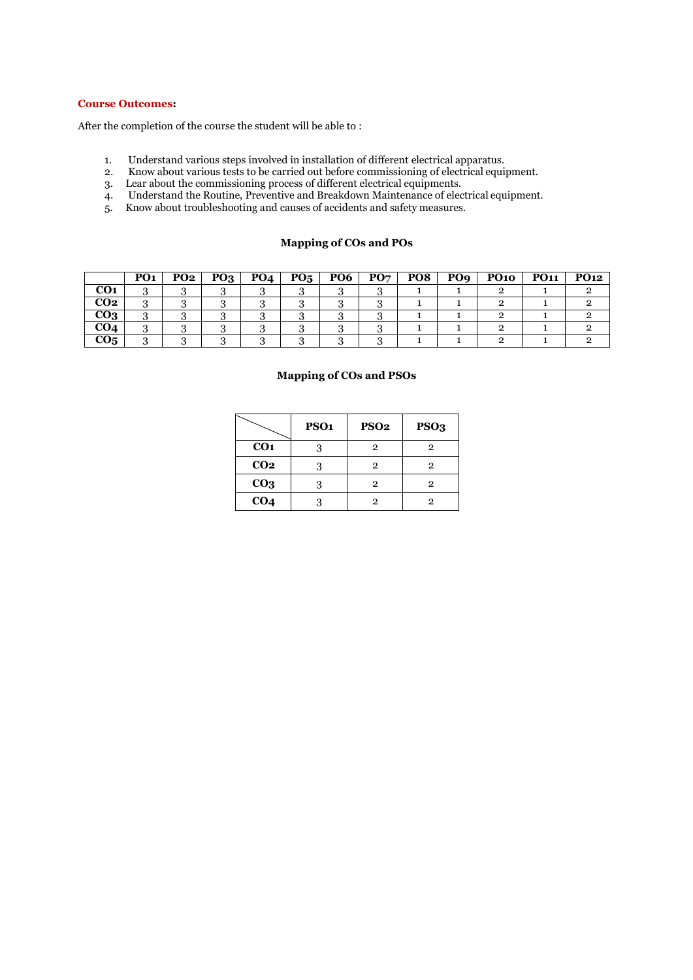## **Course Outcomes:**

After the completion of the course the student will be able to :

- 1. Understand various steps involved in installation of different electrical apparatus.
- 2. Know about various tests to be carried out before commissioning of electrical equipment.
- 3. Lear about the commissioning process of different electrical equipments.
- 4. Understand the Routine, Preventive and Breakdown Maintenance of electrical equipment. 5. Know about troubleshooting and causes of accidents and safety measures.
- 

## **Mapping of COs and POs**

|                        | PO <sub>1</sub> | PO <sub>2</sub> | PQ <sub>3</sub> | PO <sub>4</sub> | $P_{05}$ | <b>PO6</b> | PO <sub>7</sub> | PO <sub>8</sub> | PO <sub>9</sub> | <b>PO10</b> | <b>PO11</b> | <b>PO12</b> |
|------------------------|-----------------|-----------------|-----------------|-----------------|----------|------------|-----------------|-----------------|-----------------|-------------|-------------|-------------|
| CO <sub>1</sub>        | $\cdot$         |                 |                 |                 |          |            |                 |                 |                 |             |             |             |
| $\overline{CO2}$       | $\cdot$         |                 |                 |                 |          |            |                 |                 |                 |             |             |             |
| $\overline{{\bf CO3}}$ |                 |                 |                 |                 |          |            |                 |                 |                 |             |             |             |
| CO4                    |                 |                 |                 |                 |          |            |                 |                 |                 |             |             |             |
| CO <sub>5</sub>        |                 |                 |                 |                 |          |            |                 |                 |                 |             |             |             |

## **Mapping of COs and PSOs**

|                 | PSO <sub>1</sub> | <b>PSO2</b> | PSO <sub>3</sub> |
|-----------------|------------------|-------------|------------------|
| CO <sub>1</sub> |                  | 2           |                  |
| CO <sub>2</sub> | 3                | 2           | 2                |
| CO <sub>3</sub> | 3                | 2           | 2                |
| CO <sub>4</sub> |                  | 2           |                  |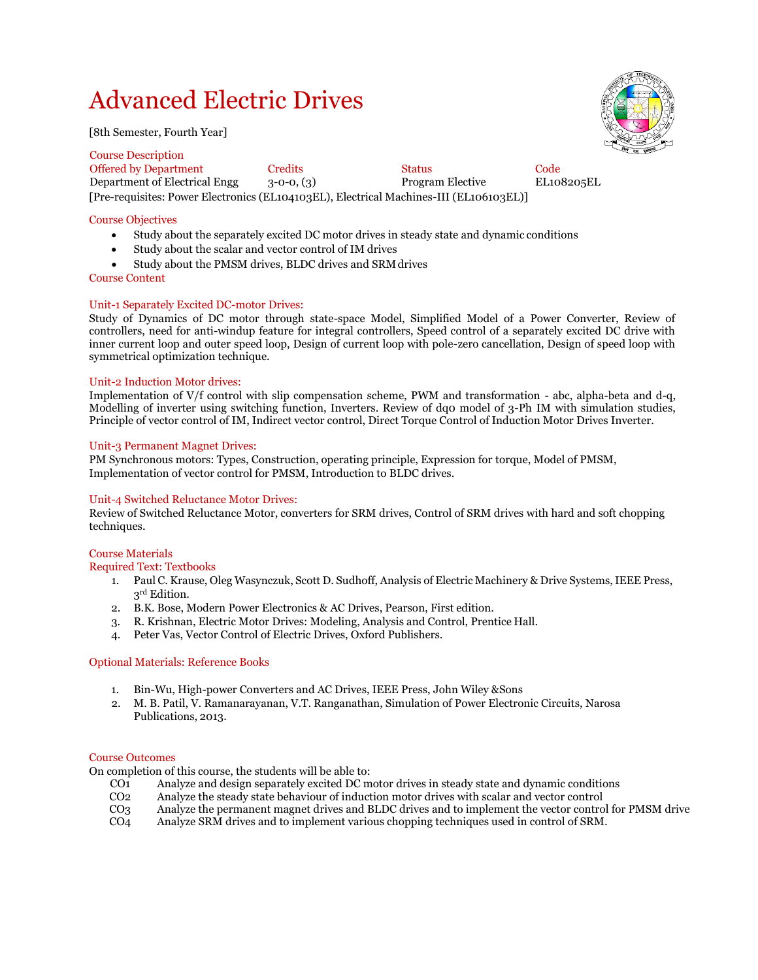## Advanced Electric Drives

[8th Semester, Fourth Year]



Course Description Offered by Department Credits Status Code Department of Electrical Engg 3-0-0, (3) Program Elective EL108205EL [Pre-requisites: Power Electronics (EL104103EL), Electrical Machines-III (EL106103EL)]

## Course Objectives

- Study about the separately excited DC motor drives in steady state and dynamic conditions
- Study about the scalar and vector control of IM drives
- Study about the PMSM drives, BLDC drives and SRMdrives
- Course Content

## Unit-1 Separately Excited DC-motor Drives:

Study of Dynamics of DC motor through state-space Model, Simplified Model of a Power Converter, Review of controllers, need for anti-windup feature for integral controllers, Speed control of a separately excited DC drive with inner current loop and outer speed loop, Design of current loop with pole-zero cancellation, Design of speed loop with symmetrical optimization technique.

## Unit-2 Induction Motor drives:

Implementation of V/f control with slip compensation scheme, PWM and transformation - abc, alpha-beta and d-q, Modelling of inverter using switching function, Inverters. Review of dq0 model of 3-Ph IM with simulation studies, Principle of vector control of IM, Indirect vector control, Direct Torque Control of Induction Motor Drives Inverter.

## Unit-3 Permanent Magnet Drives:

PM Synchronous motors: Types, Construction, operating principle, Expression for torque, Model of PMSM, Implementation of vector control for PMSM, Introduction to BLDC drives.

## Unit-4 Switched Reluctance Motor Drives:

Review of Switched Reluctance Motor, converters for SRM drives, Control of SRM drives with hard and soft chopping techniques.

## Course Materials

Required Text: Textbooks

- 1. Paul C. Krause, Oleg Wasynczuk, Scott D. Sudhoff, Analysis of Electric Machinery & Drive Systems, IEEE Press, 3<sup>rd</sup> Edition.
- 2. B.K. Bose, Modern Power Electronics & AC Drives, Pearson, First edition.
- 3. R. Krishnan, Electric Motor Drives: Modeling, Analysis and Control, Prentice Hall.
- 4. Peter Vas, Vector Control of Electric Drives, Oxford Publishers.

## Optional Materials: Reference Books

- 1. Bin-Wu, High-power Converters and AC Drives, IEEE Press, John Wiley &Sons
- 2. M. B. Patil, V. Ramanarayanan, V.T. Ranganathan, Simulation of Power Electronic Circuits, Narosa Publications, 2013.

#### Course Outcomes

On completion of this course, the students will be able to:

- CO<sub>1</sub> Analyze and design separately excited DC motor drives in steady state and dynamic conditions<br>CO<sub>2</sub> Analyze the steady state behaviour of induction motor drives with scalar and vector control
- CO<sub>2</sub> Analyze the steady state behaviour of induction motor drives with scalar and vector control<br>CO<sub>3</sub> Analyze the permanent magnet drives and BLDC drives and to implement the vector control
- Analyze the permanent magnet drives and BLDC drives and to implement the vector control for PMSM drive
- CO4 Analyze SRM drives and to implement various chopping techniques used in control of SRM.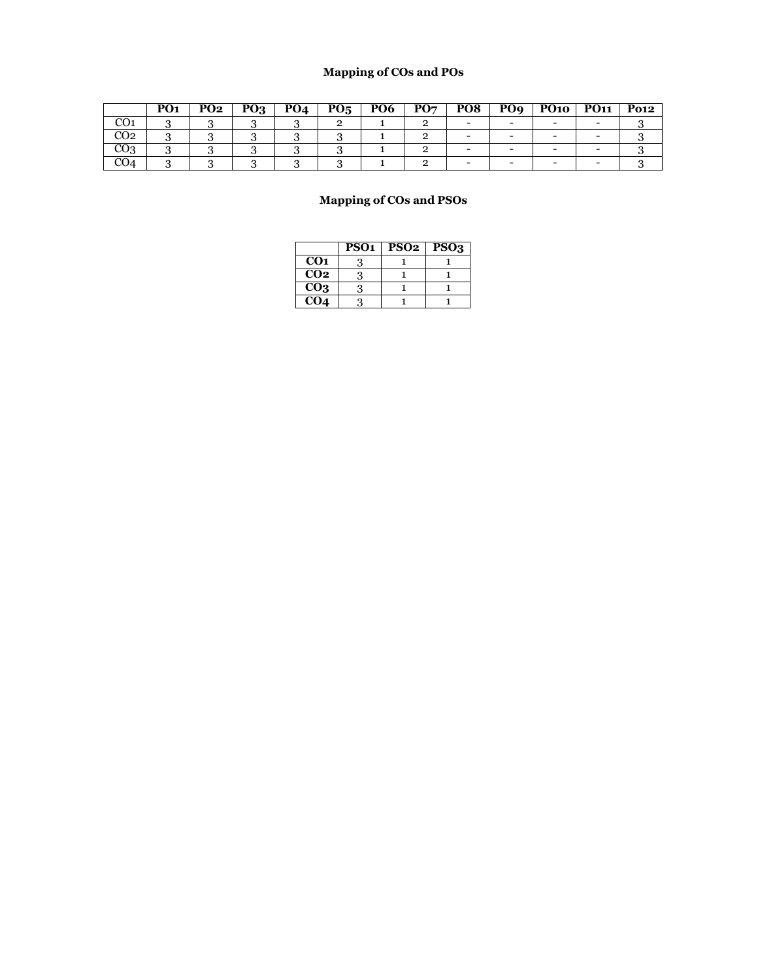## **Mapping of COs and POs**

|                 | PO <sub>1</sub> | PO <sub>2</sub> | PQ <sub>3</sub> | PO <sub>4</sub> | $P_{05}$ | PO <sub>6</sub> | PO7 | PO <sub>8</sub> | PO <sub>9</sub> | <b>PO10</b> | <b>PO11</b> | <b>Po12</b> |
|-----------------|-----------------|-----------------|-----------------|-----------------|----------|-----------------|-----|-----------------|-----------------|-------------|-------------|-------------|
| w               |                 |                 |                 |                 |          |                 |     |                 |                 |             |             |             |
| CO <sub>2</sub> |                 |                 |                 | ັ               |          |                 |     |                 |                 |             |             |             |
| CO3             |                 |                 |                 |                 |          |                 |     |                 |                 |             |             |             |
| CO4             |                 |                 |                 |                 |          |                 |     |                 |                 | -           |             |             |

## **Mapping of COs and PSOs**

|                 | PSO <sub>1</sub> | PSO <sub>2</sub> | PSO <sub>3</sub> |
|-----------------|------------------|------------------|------------------|
| CO <sub>1</sub> |                  |                  |                  |
| CO <sub>2</sub> |                  |                  |                  |
| CO <sub>3</sub> | 3                |                  |                  |
| CO <sub>4</sub> |                  |                  |                  |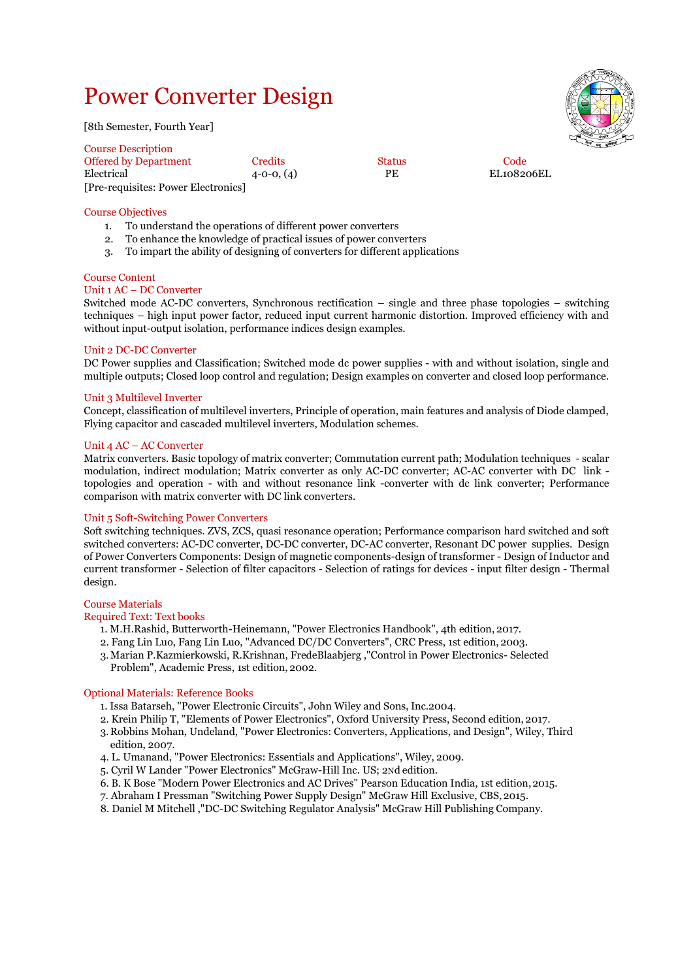## Power Converter Design

[8th Semester, Fourth Year]

| <b>Course Description</b>           |                  |               |            | -- |
|-------------------------------------|------------------|---------------|------------|----|
| <b>Offered by Department</b>        | Credits          | <b>Status</b> | Code       |    |
| Electrical                          | $4 - 0 - 0, (4)$ | PE            | EL108206EL |    |
| [Pre-requisites: Power Electronics] |                  |               |            |    |

## Course Objectives

- 1. To understand the operations of different power converters
- 2. To enhance the knowledge of practical issues of power converters
- 3. To impart the ability of designing of converters for different applications

## Course Content

## Unit 1 AC – DC Converter

Switched mode AC-DC converters, Synchronous rectification – single and three phase topologies – switching techniques – high input power factor, reduced input current harmonic distortion. Improved efficiency with and without input-output isolation, performance indices design examples.

## Unit 2 DC-DC Converter

DC Power supplies and Classification; Switched mode dc power supplies - with and without isolation, single and multiple outputs; Closed loop control and regulation; Design examples on converter and closed loop performance.

## Unit 3 Multilevel Inverter

Concept, classification of multilevel inverters, Principle of operation, main features and analysis of Diode clamped, Flying capacitor and cascaded multilevel inverters, Modulation schemes.

## Unit 4 AC – AC Converter

Matrix converters. Basic topology of matrix converter; Commutation current path; Modulation techniques - scalar modulation, indirect modulation; Matrix converter as only AC-DC converter; AC-AC converter with DC link topologies and operation - with and without resonance link -converter with dc link converter; Performance comparison with matrix converter with DC link converters.

## Unit 5 Soft-Switching Power Converters

Soft switching techniques. ZVS, ZCS, quasi resonance operation; Performance comparison hard switched and soft switched converters: AC-DC converter, DC-DC converter, DC-AC converter, Resonant DC power supplies. Design of Power Converters Components: Design of magnetic components-design of transformer - Design of Inductor and current transformer - Selection of filter capacitors - Selection of ratings for devices - input filter design - Thermal design.

## Course Materials

## Required Text: Text books

- 1. M.H.Rashid, Butterworth-Heinemann, "Power Electronics Handbook", 4th edition, 2017.
- 2. Fang Lin Luo, Fang Lin Luo, "Advanced DC/DC Converters", CRC Press, 1st edition, 2003.
- 3.Marian P.Kazmierkowski, R.Krishnan, FredeBlaabjerg ,"Control in Power Electronics- Selected Problem", Academic Press, 1st edition, 2002.

## Optional Materials: Reference Books

- 1. Issa Batarseh, "Power Electronic Circuits", John Wiley and Sons, Inc.2004.
- 2. Krein Philip T, "Elements of Power Electronics", Oxford University Press, Second edition, 2017.
- 3. Robbins Mohan, Undeland, "Power Electronics: Converters, Applications, and Design", Wiley, Third edition, 2007.
- 4. L. Umanand, "Power Electronics: Essentials and Applications", Wiley, 2009.
- 5. Cyril W Lander "Power Electronics" McGraw-Hill Inc. US; 2Nd edition.
- 6. B. K Bose "Modern Power Electronics and AC Drives" Pearson Education India, 1st edition,2015.
- 7. Abraham I Pressman "Switching Power Supply Design" McGraw Hill Exclusive, CBS,2015.
- 8. Daniel M Mitchell ,"DC-DC Switching Regulator Analysis" McGraw Hill Publishing Company.

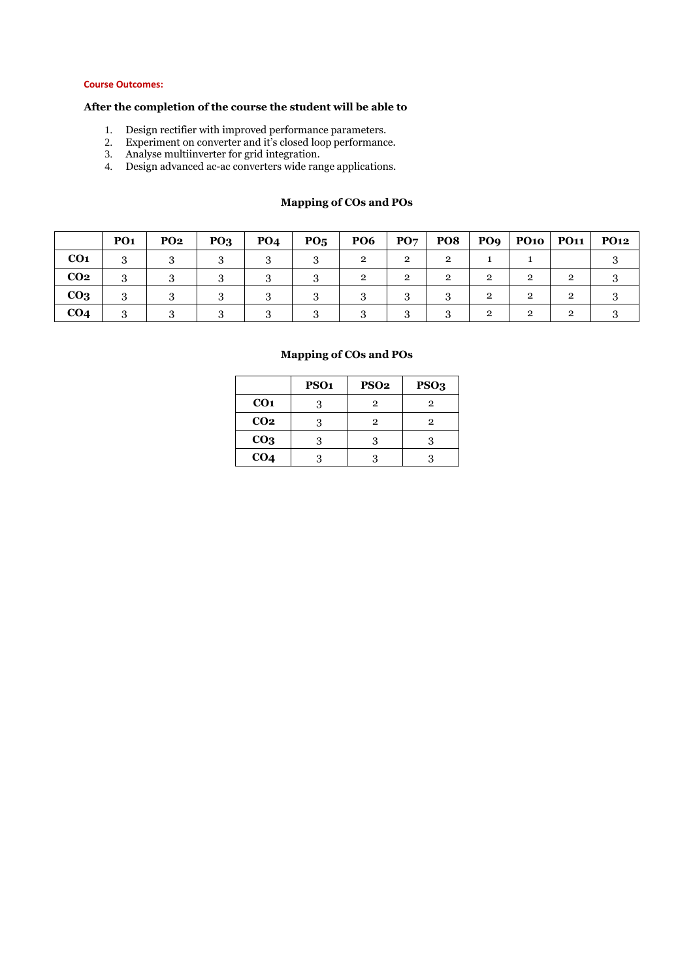## **Course Outcomes:**

## **After the completion of the course the student will be able to**

- 1. Design rectifier with improved performance parameters.
- 2. Experiment on converter and it's closed loop performance.
- 3. Analyse multiinverter for grid integration.
- 4. Design advanced ac-ac converters wide range applications.

## **PO1 PO2 PO3 PO4 PO5 PO6 PO7 PO8 PO9 PO10 PO11 PO12 CO1** 3 3 3 3 3 2 2 2 1 1 3 **CO2** 3 3 3 3 3 2 2 2 2 2 2 3 **CO3** 3 3 3 3 3 3 3 3 2 2 2 3 **CO4** 3 3 3 3 3 3 3 3 2 2 2 3

## **Mapping of COs and POs**

## **Mapping of COs and POs**

|                 | PSO <sub>1</sub> | <b>PSO2</b> | PSO <sub>3</sub> |
|-----------------|------------------|-------------|------------------|
| CO <sub>1</sub> |                  | 2           | 2                |
| CO <sub>2</sub> | 3                | 2           | 2                |
| CO <sub>3</sub> |                  |             |                  |
| CO <sub>4</sub> |                  |             |                  |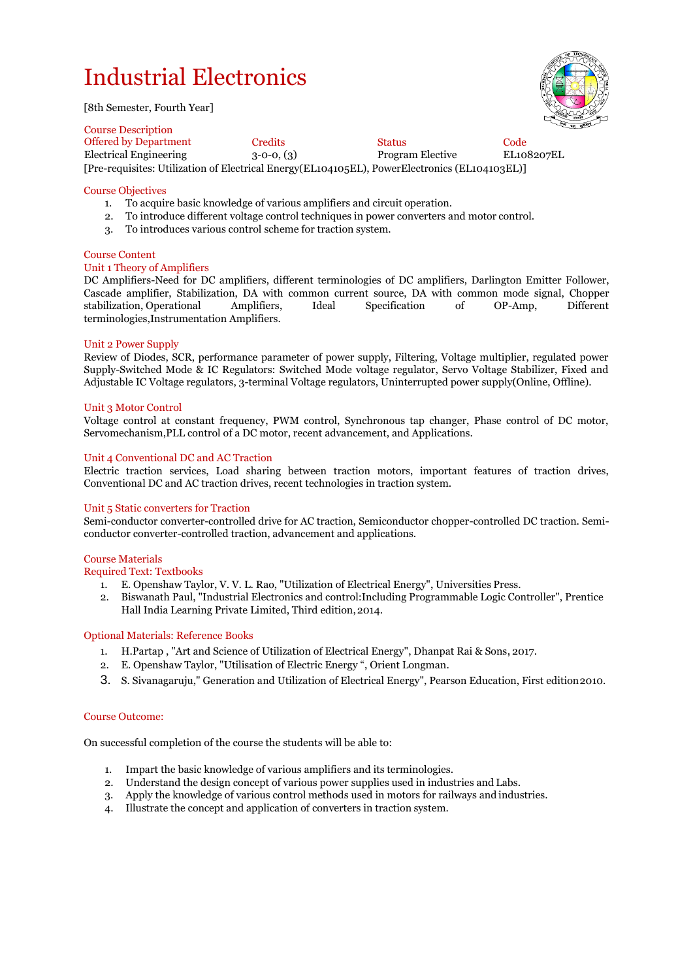# Industrial Electronics

[8th Semester, Fourth Year]



Course Description Offered by Department Credits Code<br>
Electrical Engineering 3-0-0. (3) Program Elective EL108207EL Electrical Engineering  $3-0-0$ ,  $(3)$ [Pre-requisites: Utilization of Electrical Energy(EL104105EL), PowerElectronics (EL104103EL)]

## Course Objectives

- 1. To acquire basic knowledge of various amplifiers and circuit operation.
- 2. To introduce different voltage control techniques in power converters and motor control.
- 3. To introduces various control scheme for traction system.

## Course Content

## Unit 1 Theory of Amplifiers

DC Amplifiers-Need for DC amplifiers, different terminologies of DC amplifiers, Darlington Emitter Follower, Cascade amplifier, Stabilization, DA with common current source, DA with common mode signal, Chopper stabilization, Operational Amplifiers, Ideal Specification of OP-Amp, Different terminologies,Instrumentation Amplifiers.

## Unit 2 Power Supply

Review of Diodes, SCR, performance parameter of power supply, Filtering, Voltage multiplier, regulated power Supply-Switched Mode & IC Regulators: Switched Mode voltage regulator, Servo Voltage Stabilizer, Fixed and Adjustable IC Voltage regulators, 3-terminal Voltage regulators, Uninterrupted power supply(Online, Offline).

## Unit 3 Motor Control

Voltage control at constant frequency, PWM control, Synchronous tap changer, Phase control of DC motor, Servomechanism,PLL control of a DC motor, recent advancement, and Applications.

## Unit 4 Conventional DC and AC Traction

Electric traction services, Load sharing between traction motors, important features of traction drives, Conventional DC and AC traction drives, recent technologies in traction system.

## Unit 5 Static converters for Traction

Semi-conductor converter-controlled drive for AC traction, Semiconductor chopper-controlled DC traction. Semiconductor converter-controlled traction, advancement and applications.

## Course Materials

Required Text: Textbooks

- 1. E. Openshaw Taylor, V. V. L. Rao, "Utilization of Electrical Energy", Universities Press.
- 2. Biswanath Paul, "Industrial Electronics and control:Including Programmable Logic Controller", Prentice Hall India Learning Private Limited, Third edition,2014.

## Optional Materials: Reference Books

- 1. H.Partap , "Art and Science of Utilization of Electrical Energy", Dhanpat Rai & Sons,2017.
- 2. E. Openshaw Taylor, "Utilisation of Electric Energy ", Orient Longman.
- 3. S. Sivanagaruju," Generation and Utilization of Electrical Energy", Pearson Education, First edition2010.

## Course Outcome:

On successful completion of the course the students will be able to:

- 1. Impart the basic knowledge of various amplifiers and its terminologies.
- 2. Understand the design concept of various power supplies used in industries and Labs.
- 3. Apply the knowledge of various control methods used in motors for railways and industries.
- 4. Illustrate the concept and application of converters in traction system.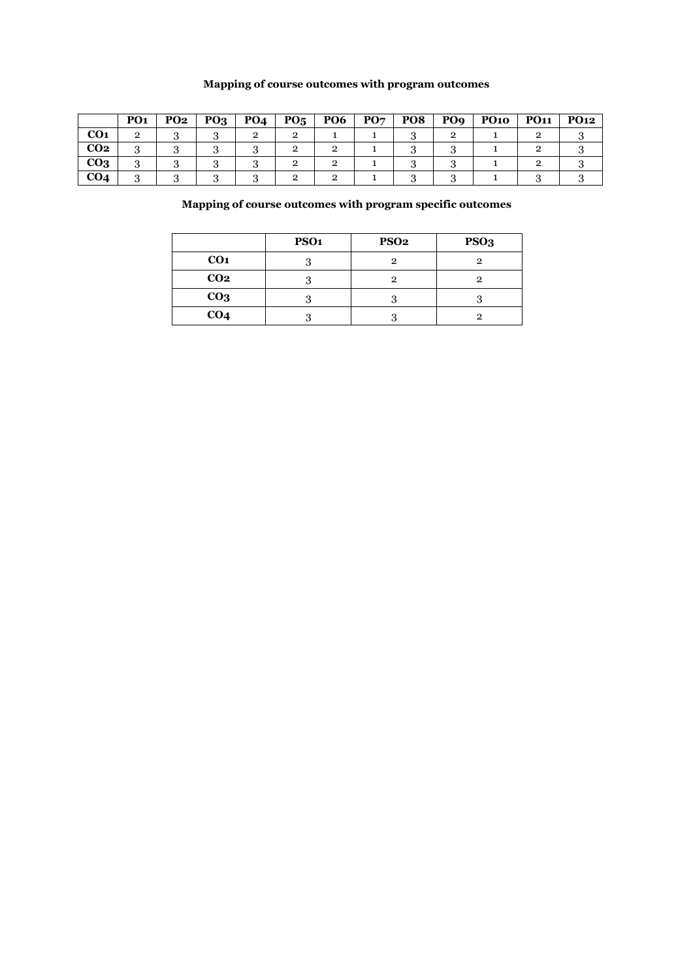## **Mapping of course outcomes with program outcomes**

|                 | PO <sub>1</sub> | <b>PO2</b> | <b>PO3</b> | PO <sub>4</sub> | PO <sub>5</sub> | <b>PO6</b> | PO7 | PO8 | PO <sub>9</sub> | <b>PO10</b> | <b>PO11</b> | <b>PO12</b> |
|-----------------|-----------------|------------|------------|-----------------|-----------------|------------|-----|-----|-----------------|-------------|-------------|-------------|
| CO <sub>1</sub> |                 |            |            |                 |                 |            |     |     |                 |             |             |             |
| CO <sub>2</sub> |                 |            |            |                 |                 |            |     |     |                 |             |             |             |
| CO <sub>3</sub> |                 |            |            |                 |                 |            |     |     |                 |             |             |             |
| CO <sub>4</sub> |                 |            |            |                 |                 |            |     |     |                 |             |             |             |

## **Mapping of course outcomes with program specific outcomes**

|                 | PSO <sub>1</sub> | PSO <sub>2</sub> | PSO <sub>3</sub> |
|-----------------|------------------|------------------|------------------|
| CO <sub>1</sub> | ാ                | っ                | 2                |
| CO <sub>2</sub> |                  | 2                | 2                |
| CO <sub>3</sub> |                  |                  |                  |
| CO <sub>4</sub> |                  |                  | 2                |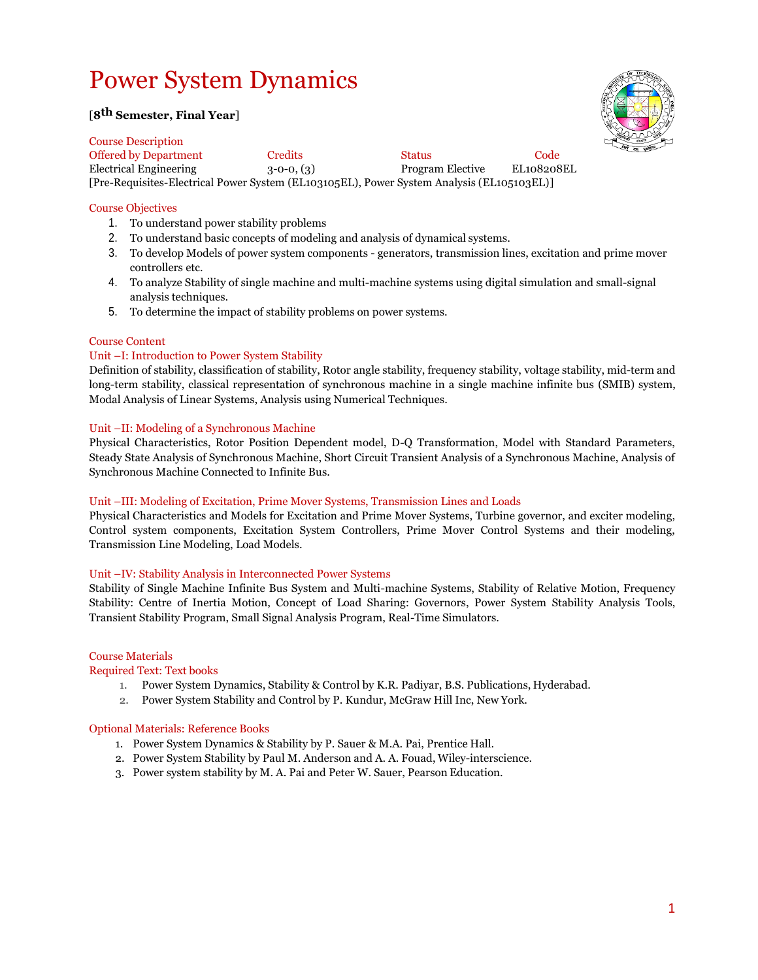## Power System Dynamics

## [**8th Semester, Final Year**]



Course Description Offered by Department Credits Status Code Electrical Engineering 3-0-0, (3) Program Elective EL108208EL [Pre-Requisites-Electrical Power System (EL103105EL), Power System Analysis (EL105103EL)]

## Course Objectives

- 1. To understand power stability problems
- 2. To understand basic concepts of modeling and analysis of dynamical systems.
- 3. To develop Models of power system components generators, transmission lines, excitation and prime mover controllers etc.
- 4. To analyze Stability of single machine and multi-machine systems using digital simulation and small-signal analysis techniques.
- 5. To determine the impact of stability problems on power systems.

## Course Content

## Unit –I: Introduction to Power System Stability

Definition of stability, classification of stability, Rotor angle stability, frequency stability, voltage stability, mid-term and long-term stability, classical representation of synchronous machine in a single machine infinite bus (SMIB) system, Modal Analysis of Linear Systems, Analysis using Numerical Techniques.

## Unit –II: Modeling of a Synchronous Machine

Physical Characteristics, Rotor Position Dependent model, D-Q Transformation, Model with Standard Parameters, Steady State Analysis of Synchronous Machine, Short Circuit Transient Analysis of a Synchronous Machine, Analysis of Synchronous Machine Connected to Infinite Bus.

## Unit –III: Modeling of Excitation, Prime Mover Systems, Transmission Lines and Loads

Physical Characteristics and Models for Excitation and Prime Mover Systems, Turbine governor, and exciter modeling, Control system components, Excitation System Controllers, Prime Mover Control Systems and their modeling, Transmission Line Modeling, Load Models.

## Unit –IV: Stability Analysis in Interconnected Power Systems

Stability of Single Machine Infinite Bus System and Multi-machine Systems, Stability of Relative Motion, Frequency Stability: Centre of Inertia Motion, Concept of Load Sharing: Governors, Power System Stability Analysis Tools, Transient Stability Program, Small Signal Analysis Program, Real-Time Simulators.

## Course Materials

Required Text: Text books

- 1. Power System Dynamics, Stability & Control by K.R. Padiyar, B.S. Publications, Hyderabad.
- 2. Power System Stability and Control by P. Kundur, McGraw Hill Inc, New York.

## Optional Materials: Reference Books

- 1. Power System Dynamics & Stability by P. Sauer & M.A. Pai, Prentice Hall.
- 2. Power System Stability by Paul M. Anderson and A. A. Fouad, Wiley-interscience.
- 3. Power system stability by M. A. Pai and Peter W. Sauer, Pearson Education.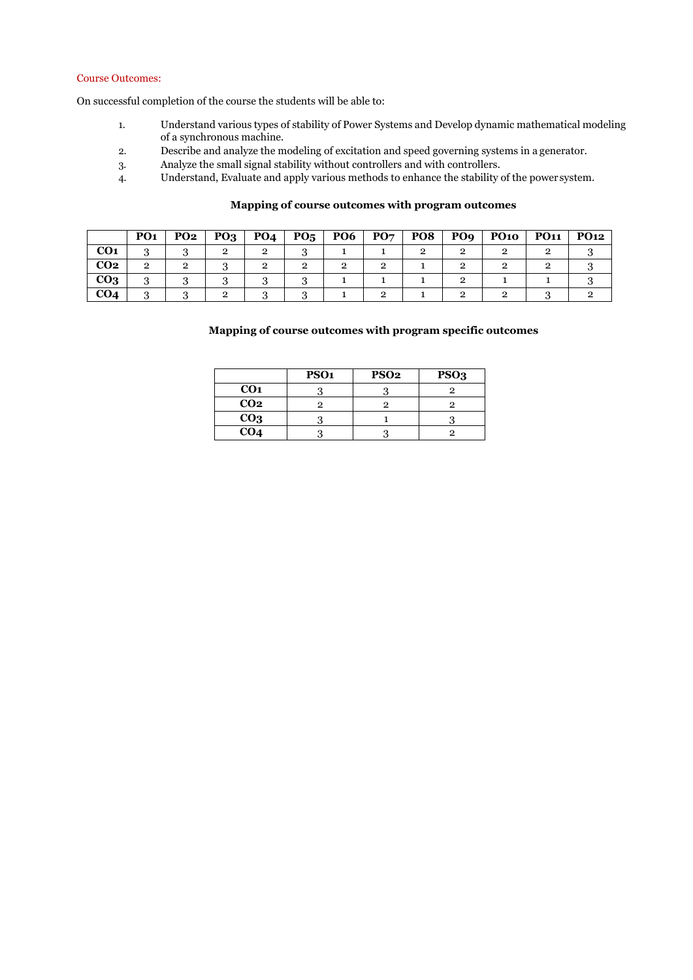#### Course Outcomes:

On successful completion of the course the students will be able to:

- 1. Understand various types of stability of Power Systems and Develop dynamic mathematical modeling of a synchronous machine.
- 2. Describe and analyze the modeling of excitation and speed governing systems in a generator.
- 3. Analyze the small signal stability without controllers and with controllers.
- 4. Understand, Evaluate and apply various methods to enhance the stability of the power system.

## **Mapping of course outcomes with program outcomes**

|                 | PO <sub>1</sub> | PO <sub>2</sub> | $PQ_3$ | PO <sub>4</sub> | $P_{05}$ | PO <sub>6</sub> | PO <sub>7</sub> | PO8 | PO <sub>9</sub> | <b>PO10</b> | <b>PO11</b> | <b>PO12</b> |
|-----------------|-----------------|-----------------|--------|-----------------|----------|-----------------|-----------------|-----|-----------------|-------------|-------------|-------------|
| CO <sub>1</sub> | .,              |                 |        | റ               |          |                 |                 |     |                 |             |             |             |
| CO <sub>2</sub> | 9               |                 |        | റ               |          |                 |                 |     |                 |             |             |             |
| CO <sub>3</sub> | .,              |                 |        |                 |          |                 |                 |     |                 |             |             |             |
| CO <sub>4</sub> |                 |                 |        |                 |          |                 |                 |     |                 |             |             |             |

## **Mapping of course outcomes with program specific outcomes**

|                 | PSO <sub>1</sub> | PSO <sub>2</sub> | PSO <sub>3</sub> |
|-----------------|------------------|------------------|------------------|
| CO <sub>1</sub> |                  |                  |                  |
| CO <sub>2</sub> |                  |                  |                  |
| CO <sub>3</sub> |                  |                  |                  |
| CO <sub>4</sub> |                  |                  |                  |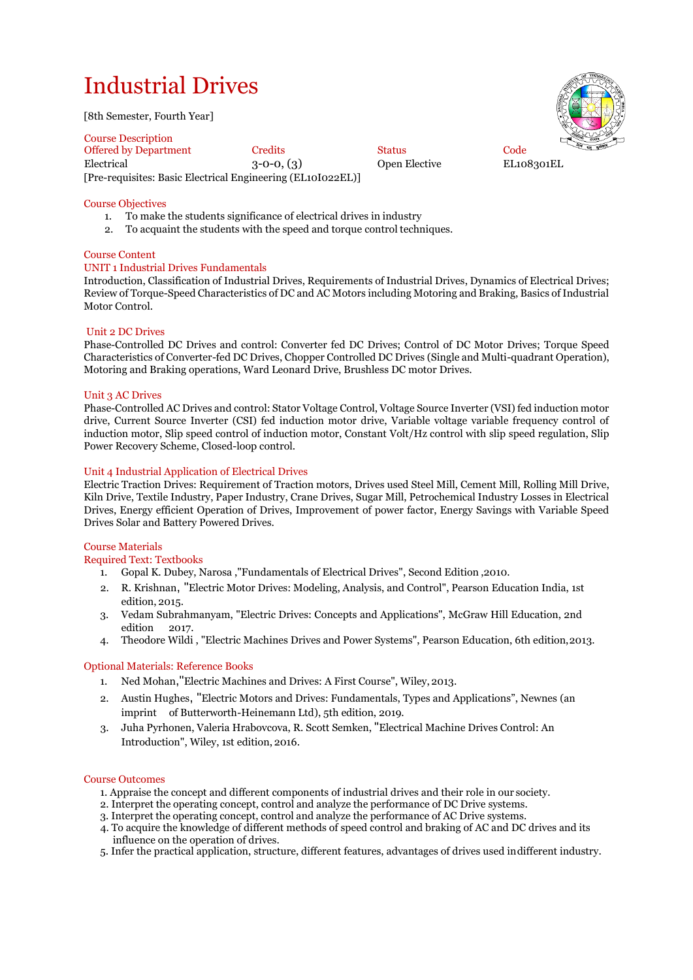# Industrial Drives

[8th Semester, Fourth Year]

Course Description Offered by Department Credits Code Status Code Electrical 3-0-0, (3) Open Elective EL108301EL [Pre-requisites: Basic Electrical Engineering (EL10I022EL)]

## Course Objectives

- 1. To make the students significance of electrical drives in industry
- 2. To acquaint the students with the speed and torque control techniques.

## Course Content

## UNIT 1 Industrial Drives Fundamentals

Introduction, Classification of Industrial Drives, Requirements of Industrial Drives, Dynamics of Electrical Drives; Review of Torque-Speed Characteristics of DC and AC Motors including Motoring and Braking, Basics of Industrial Motor Control.

## Unit 2 DC Drives

Phase-Controlled DC Drives and control: Converter fed DC Drives; Control of DC Motor Drives; Torque Speed Characteristics of Converter-fed DC Drives, Chopper Controlled DC Drives (Single and Multi-quadrant Operation), Motoring and Braking operations, Ward Leonard Drive, Brushless DC motor Drives.

## Unit 3 AC Drives

Phase-Controlled AC Drives and control: Stator Voltage Control, Voltage Source Inverter (VSI) fed induction motor drive, Current Source Inverter (CSI) fed induction motor drive, Variable voltage variable frequency control of induction motor, Slip speed control of induction motor, Constant Volt/Hz control with slip speed regulation, Slip Power Recovery Scheme, Closed-loop control.

## Unit 4 Industrial Application of Electrical Drives

Electric Traction Drives: Requirement of Traction motors, Drives used Steel Mill, Cement Mill, Rolling Mill Drive, Kiln Drive, Textile Industry, Paper Industry, Crane Drives, Sugar Mill, Petrochemical Industry Losses in Electrical Drives, Energy efficient Operation of Drives, Improvement of power factor, Energy Savings with Variable Speed Drives Solar and Battery Powered Drives.

## Course Materials

Required Text: Textbooks

- 1. Gopal K. Dubey, Narosa ,"Fundamentals of Electrical Drives", Second Edition ,2010.
- 2. R. Krishnan, "Electric Motor Drives: Modeling, Analysis, and Control", Pearson Education India, 1st edition, 2015.
- 3. Vedam Subrahmanyam, "Electric Drives: Concepts and Applications", McGraw Hill Education, 2nd edition 2017.
- 4. Theodore Wildi , "Electric Machines Drives and Power Systems", Pearson Education, 6th edition,2013.

## Optional Materials: Reference Books

- 1. Ned Mohan,"Electric Machines and Drives: A First Course", Wiley, 2013.
- 2. Austin Hughes, "Electric Motors and Drives: Fundamentals, Types and Applications", Newnes (an imprint of Butterworth-Heinemann Ltd), 5th edition, 2019.
- 3. Juha Pyrhonen, Valeria Hrabovcova, R. Scott Semken, "Electrical Machine Drives Control: An Introduction", Wiley, 1st edition, 2016.

## Course Outcomes

- 1. Appraise the concept and different components of industrial drives and their role in our society.
- 2. Interpret the operating concept, control and analyze the performance of DC Drive systems.
- 3. Interpret the operating concept, control and analyze the performance of AC Drive systems.
- 4. To acquire the knowledge of different methods of speed control and braking of AC and DC drives and its influence on the operation of drives.
- 5. Infer the practical application, structure, different features, advantages of drives used indifferent industry.

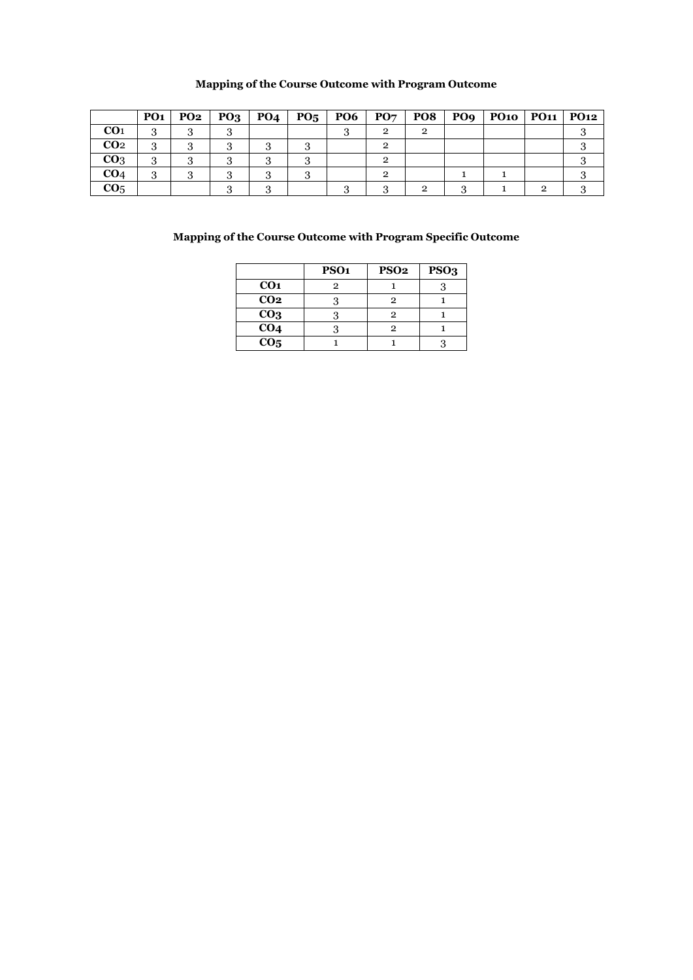## **Mapping of the Course Outcome with Program Outcome**

|                 | PO1 | $PO2$   $PO3$ | PO4 |  | $PO5$   PO6   PO7 |  | PO8   PO9   PO10   PO11   PO12 |  |
|-----------------|-----|---------------|-----|--|-------------------|--|--------------------------------|--|
| CO <sub>1</sub> | ๑   |               |     |  |                   |  |                                |  |
| CO <sub>2</sub> | Q   |               |     |  |                   |  |                                |  |
| CO <sub>3</sub> |     |               |     |  |                   |  |                                |  |
| CO <sub>4</sub> |     |               |     |  |                   |  |                                |  |
| CO <sub>5</sub> |     |               |     |  |                   |  |                                |  |

## **Mapping of the Course Outcome with Program Specific Outcome**

|                   | PSO <sub>1</sub> | <b>PSO2</b> | PSO <sub>3</sub> |
|-------------------|------------------|-------------|------------------|
| CO <sub>1</sub>   | 9                |             |                  |
| CO <sub>2</sub>   |                  | 2           |                  |
| CO <sub>3</sub>   |                  | 2           |                  |
| CO <sub>4</sub>   |                  | 2           |                  |
| $\overline{CO_5}$ |                  |             |                  |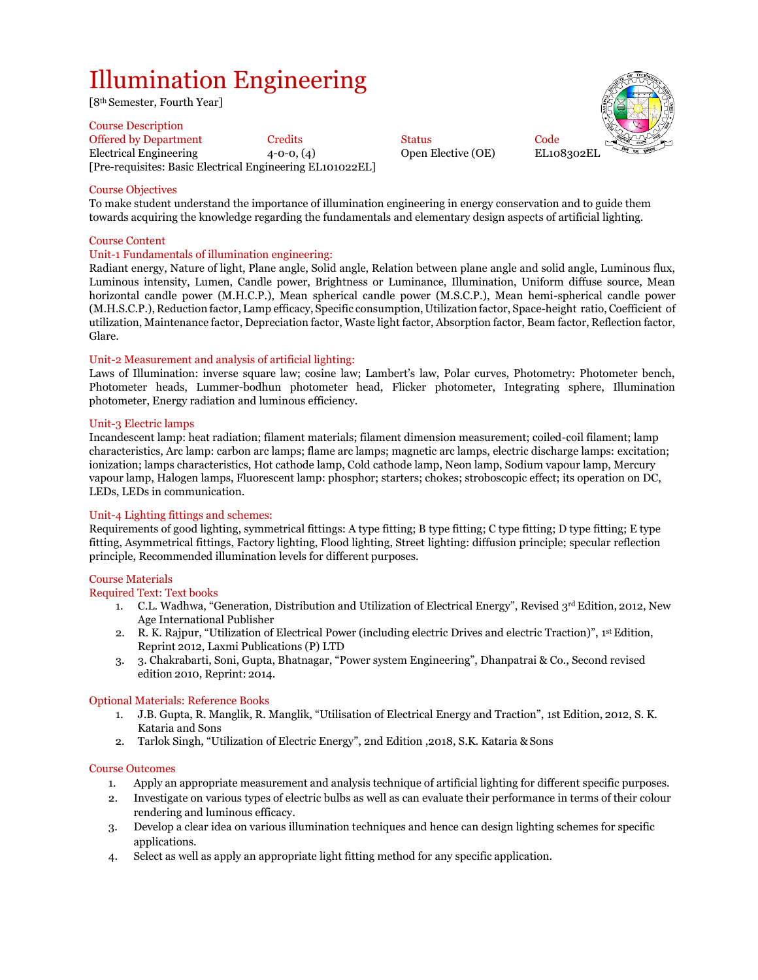# Illumination Engineering

[8th Semester, Fourth Year]

#### Course Description

Offered by Department Credits Status Code Electrical Engineering 4-0-0, (4) Open Elective (OE) EL108302EL [Pre-requisites: Basic Electrical Engineering EL101022EL]



## Course Objectives

To make student understand the importance of illumination engineering in energy conservation and to guide them towards acquiring the knowledge regarding the fundamentals and elementary design aspects of artificial lighting.

## Course Content

#### Unit-1 Fundamentals of illumination engineering:

Radiant energy, Nature of light, Plane angle, Solid angle, Relation between plane angle and solid angle, Luminous flux, Luminous intensity, Lumen, Candle power, Brightness or Luminance, Illumination, Uniform diffuse source, Mean horizontal candle power (M.H.C.P.), Mean spherical candle power (M.S.C.P.), Mean hemi-spherical candle power (M.H.S.C.P.), Reduction factor, Lamp efficacy, Specific consumption, Utilization factor, Space-height ratio, Coefficient of utilization, Maintenance factor, Depreciation factor, Waste light factor, Absorption factor, Beam factor, Reflection factor, Glare.

## Unit-2 Measurement and analysis of artificial lighting:

Laws of Illumination: inverse square law; cosine law; Lambert's law, Polar curves, Photometry: Photometer bench, Photometer heads, Lummer-bodhun photometer head, Flicker photometer, Integrating sphere, Illumination photometer, Energy radiation and luminous efficiency.

## Unit-3 Electric lamps

Incandescent lamp: heat radiation; filament materials; filament dimension measurement; coiled-coil filament; lamp characteristics, Arc lamp: carbon arc lamps; flame arc lamps; magnetic arc lamps, electric discharge lamps: excitation; ionization; lamps characteristics, Hot cathode lamp, Cold cathode lamp, Neon lamp, Sodium vapour lamp, Mercury vapour lamp, Halogen lamps, Fluorescent lamp: phosphor; starters; chokes; stroboscopic effect; its operation on DC, LEDs, LEDs in communication.

## Unit-4 Lighting fittings and schemes:

Requirements of good lighting, symmetrical fittings: A type fitting; B type fitting; C type fitting; D type fitting; E type fitting, Asymmetrical fittings, Factory lighting, Flood lighting, Street lighting: diffusion principle; specular reflection principle, Recommended illumination levels for different purposes.

## Course Materials

## Required Text: Text books

- 1. C.L. Wadhwa, "Generation, Distribution and Utilization of Electrical Energy", Revised  $3^{rd}$  Edition, 2012, New Age International Publisher
- 2. R. K. Rajpur, "Utilization of Electrical Power (including electric Drives and electric Traction)", 1st Edition, Reprint 2012, Laxmi Publications (P) LTD
- 3. 3. Chakrabarti, Soni, Gupta, Bhatnagar, "Power system Engineering", Dhanpatrai & Co., Second revised edition 2010, Reprint: 2014.

## Optional Materials: Reference Books

- 1. J.B. Gupta, R. Manglik, R. Manglik, "Utilisation of Electrical Energy and Traction", 1st Edition, 2012, S. K. Kataria and Sons
- 2. Tarlok Singh, "Utilization of Electric Energy", 2nd Edition ,2018, S.K. Kataria & Sons

## Course Outcomes

- 1. Apply an appropriate measurement and analysis technique of artificial lighting for different specific purposes.
- 2. Investigate on various types of electric bulbs as well as can evaluate their performance in terms of their colour rendering and luminous efficacy.
- 3. Develop a clear idea on various illumination techniques and hence can design lighting schemes for specific applications.
- 4. Select as well as apply an appropriate light fitting method for any specific application.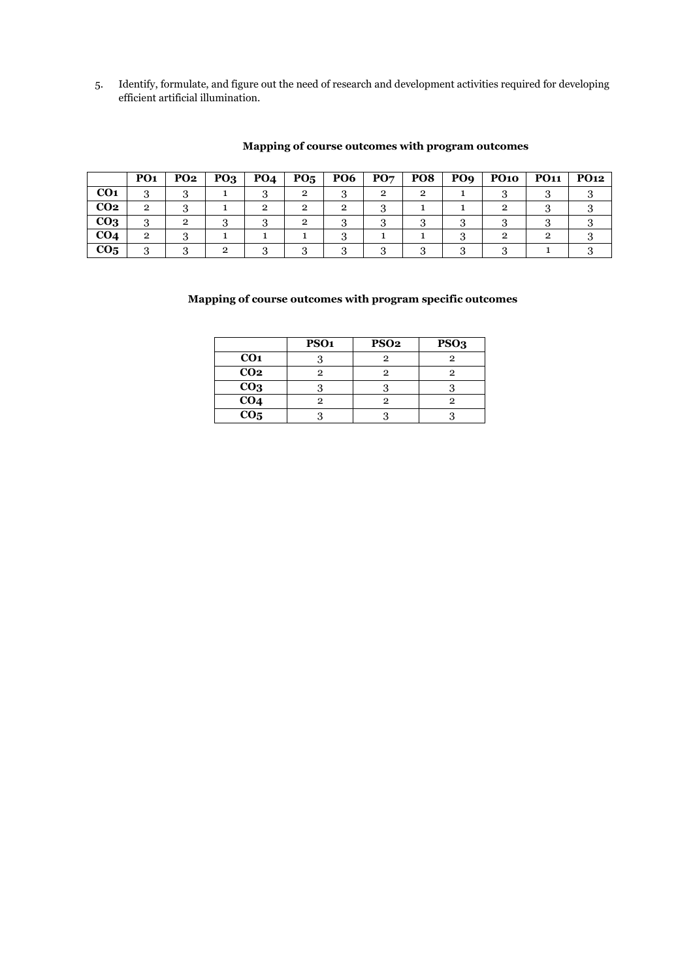5. Identify, formulate, and figure out the need of research and development activities required for developing efficient artificial illumination.

|                 | PO <sub>1</sub> | <b>PO2</b> | PO <sub>3</sub> | <b>PO4</b> | $P_{05}$ | <b>PO6</b> | PO7 | PO8 | PO <sub>9</sub> | <b>PO10</b> | <b>PO11</b> | <b>PO12</b> |
|-----------------|-----------------|------------|-----------------|------------|----------|------------|-----|-----|-----------------|-------------|-------------|-------------|
| CO <sub>1</sub> | റ               |            |                 |            | റ        |            |     |     |                 |             |             |             |
| CO <sub>2</sub> | $\overline{2}$  |            |                 |            | റ        |            |     |     |                 |             |             |             |
| CO <sub>3</sub> |                 | 2          |                 |            |          |            |     |     |                 |             |             |             |
| CO <sub>4</sub> | $\overline{2}$  |            |                 |            |          |            |     |     |                 |             |             |             |
| CO <sub>5</sub> |                 |            |                 |            |          |            |     |     |                 |             |             |             |

## **Mapping of course outcomes with program outcomes**

## **Mapping of course outcomes with program specific outcomes**

|                 | PSO <sub>1</sub> | PSO <sub>2</sub> | PSO <sub>3</sub> |
|-----------------|------------------|------------------|------------------|
| CO <sub>1</sub> |                  |                  |                  |
| CO <sub>2</sub> | ი                |                  |                  |
| CO <sub>3</sub> |                  |                  |                  |
| CO <sub>4</sub> |                  |                  |                  |
| CO <sub>5</sub> |                  |                  |                  |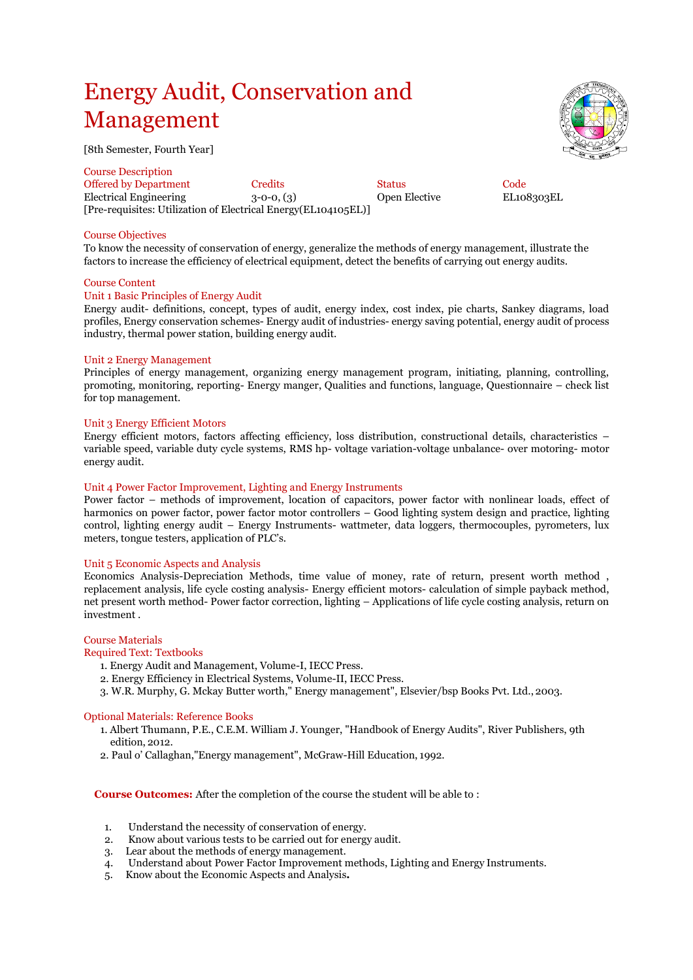# Energy Audit, Conservation and Management

[8th Semester, Fourth Year]

Course Description Offered by Department Credits Code<br>
Electrical Engineering 3-0-0, (3) Open Elective EL108303EL Electrical Engineering 3-0-0, (3) [Pre-requisites: Utilization of Electrical Energy(EL104105EL)]

## Course Objectives

To know the necessity of conservation of energy, generalize the methods of energy management, illustrate the factors to increase the efficiency of electrical equipment, detect the benefits of carrying out energy audits.

## Course Content

## Unit 1 Basic Principles of Energy Audit

Energy audit- definitions, concept, types of audit, energy index, cost index, pie charts, Sankey diagrams, load profiles, Energy conservation schemes- Energy audit of industries- energy saving potential, energy audit of process industry, thermal power station, building energy audit.

## Unit 2 Energy Management

Principles of energy management, organizing energy management program, initiating, planning, controlling, promoting, monitoring, reporting- Energy manger, Qualities and functions, language, Questionnaire – check list for top management.

#### Unit 3 Energy Efficient Motors

Energy efficient motors, factors affecting efficiency, loss distribution, constructional details, characteristics – variable speed, variable duty cycle systems, RMS hp- voltage variation-voltage unbalance- over motoring- motor energy audit.

#### Unit 4 Power Factor Improvement, Lighting and Energy Instruments

Power factor – methods of improvement, location of capacitors, power factor with nonlinear loads, effect of harmonics on power factor, power factor motor controllers – Good lighting system design and practice, lighting control, lighting energy audit – Energy Instruments- wattmeter, data loggers, thermocouples, pyrometers, lux meters, tongue testers, application of PLC's.

## Unit 5 Economic Aspects and Analysis

Economics Analysis-Depreciation Methods, time value of money, rate of return, present worth method , replacement analysis, life cycle costing analysis- Energy efficient motors- calculation of simple payback method, net present worth method- Power factor correction, lighting – Applications of life cycle costing analysis, return on investment .

## Course Materials

#### Required Text: Textbooks

- 1. Energy Audit and Management, Volume-I, IECC Press.
- 2. Energy Efficiency in Electrical Systems, Volume-II, IECC Press.
- 3. W.R. Murphy, G. Mckay Butter worth," Energy management", Elsevier/bsp Books Pvt. Ltd., 2003.

#### Optional Materials: Reference Books

- 1. Albert Thumann, P.E., C.E.M. William J. Younger, "Handbook of Energy Audits", River Publishers, 9th edition, 2012.
- 2. Paul o' Callaghan,"Energy management", McGraw-Hill Education, 1992.

**Course Outcomes:** After the completion of the course the student will be able to :

- 1. Understand the necessity of conservation of energy.
- 2. Know about various tests to be carried out for energy audit.
- 3. Lear about the methods of energy management.
- 4. Understand about Power Factor Improvement methods, Lighting and Energy Instruments.
- 5. Know about the Economic Aspects and Analysis**.**

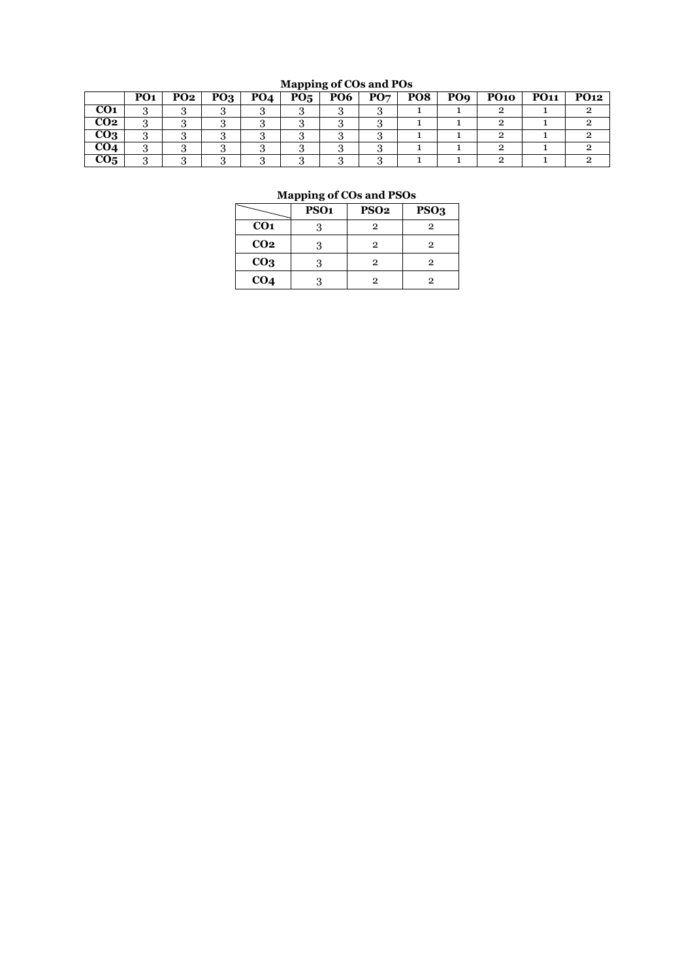## **Mapping of COs and POs**

|                 | PO <sub>1</sub> | PO <sub>2</sub> | $P_{03}$ | PO <sub>4</sub> | P0 <sub>5</sub> | <b>PO6</b> | PO7 | PO <sub>8</sub> | PO <sub>9</sub> | <b>PO10</b> | <b>PO11</b> | PO <sub>12</sub> |
|-----------------|-----------------|-----------------|----------|-----------------|-----------------|------------|-----|-----------------|-----------------|-------------|-------------|------------------|
| CO <sub>1</sub> |                 |                 |          |                 |                 |            |     |                 |                 |             |             |                  |
| CO <sub>2</sub> | .,              |                 |          |                 |                 |            |     |                 |                 |             |             |                  |
| $_{\rm CO3}$    |                 |                 |          |                 |                 |            |     |                 |                 |             |             |                  |
| CO4             |                 |                 |          |                 |                 |            |     |                 |                 |             |             |                  |
| CO <sub>5</sub> |                 |                 |          |                 |                 |            |     |                 |                 |             |             |                  |

## **Mapping of COs and PSOs**

|                 | PSO <sub>1</sub> | <b>PSO2</b> | PSO <sub>3</sub> |
|-----------------|------------------|-------------|------------------|
| CO <sub>1</sub> |                  | 2           | 2                |
| CO <sub>2</sub> | 3                | 2           | 2                |
| CO <sub>3</sub> |                  | 2           | 2                |
| CO <sub>4</sub> |                  | 9           | 2                |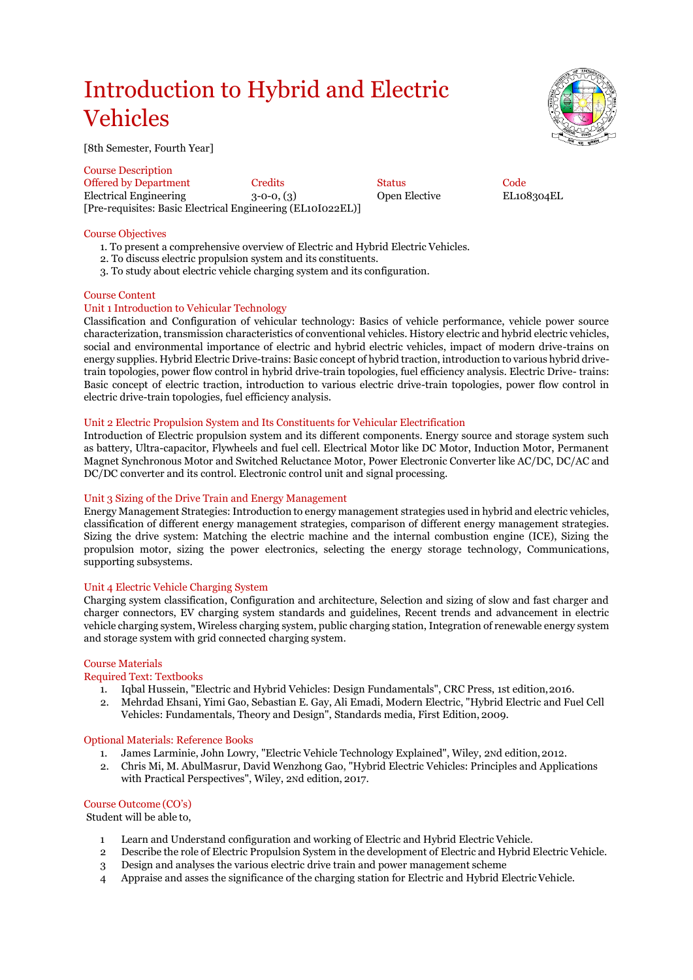# Introduction to Hybrid and Electric Vehicles



[8th Semester, Fourth Year]

Course Description Offered by Department Credits Code<br>
Electrical Engineering 3-0-0, (3) Open Elective EL108304EL Electrical Engineering  $3-0-0$ ,  $(3)$ [Pre-requisites: Basic Electrical Engineering (EL10I022EL)]

## Course Objectives

- 1. To present a comprehensive overview of Electric and Hybrid Electric Vehicles.
- 2. To discuss electric propulsion system and its constituents.
- 3. To study about electric vehicle charging system and its configuration.

## Course Content

## Unit 1 Introduction to Vehicular Technology

Classification and Configuration of vehicular technology: Basics of vehicle performance, vehicle power source characterization, transmission characteristics of conventional vehicles. History electric and hybrid electric vehicles, social and environmental importance of electric and hybrid electric vehicles, impact of modern drive-trains on energy supplies. Hybrid Electric Drive-trains: Basic concept of hybrid traction, introduction to various hybrid drivetrain topologies, power flow control in hybrid drive-train topologies, fuel efficiency analysis. Electric Drive- trains: Basic concept of electric traction, introduction to various electric drive-train topologies, power flow control in electric drive-train topologies, fuel efficiency analysis.

## Unit 2 Electric Propulsion System and Its Constituents for Vehicular Electrification

Introduction of Electric propulsion system and its different components. Energy source and storage system such as battery, Ultra-capacitor, Flywheels and fuel cell. Electrical Motor like DC Motor, Induction Motor, Permanent Magnet Synchronous Motor and Switched Reluctance Motor, Power Electronic Converter like AC/DC, DC/AC and DC/DC converter and its control. Electronic control unit and signal processing.

## Unit 3 Sizing of the Drive Train and Energy Management

Energy Management Strategies:Introduction to energy management strategies used in hybrid and electric vehicles, classification of different energy management strategies, comparison of different energy management strategies. Sizing the drive system: Matching the electric machine and the internal combustion engine (ICE), Sizing the propulsion motor, sizing the power electronics, selecting the energy storage technology, Communications, supporting subsystems.

## Unit 4 Electric Vehicle Charging System

Charging system classification, Configuration and architecture, Selection and sizing of slow and fast charger and charger connectors, EV charging system standards and guidelines, Recent trends and advancement in electric vehicle charging system, Wireless charging system, public charging station, Integration of renewable energy system and storage system with grid connected charging system.

## Course Materials

## Required Text: Textbooks

- 1. Iqbal Hussein, "Electric and Hybrid Vehicles: Design Fundamentals", CRC Press, 1st edition,2016.
- 2. Mehrdad Ehsani, Yimi Gao, Sebastian E. Gay, Ali Emadi, Modern Electric, "Hybrid Electric and Fuel Cell Vehicles: Fundamentals, Theory and Design", Standards media, First Edition, 2009.

## Optional Materials: Reference Books

- 1. James Larminie, John Lowry, "Electric Vehicle Technology Explained", Wiley, 2Nd edition,2012.
- 2. Chris Mi, M. AbulMasrur, David Wenzhong Gao, "Hybrid Electric Vehicles: Principles and Applications with Practical Perspectives", Wiley, 2Nd edition, 2017.

## Course Outcome (CO's)

Student will be able to,

- 1 Learn and Understand configuration and working of Electric and Hybrid Electric Vehicle.
- 2 Describe the role of Electric Propulsion System in the development of Electric and Hybrid Electric Vehicle.
- 3 Design and analyses the various electric drive train and power management scheme
- 4 Appraise and asses the significance of the charging station for Electric and Hybrid ElectricVehicle.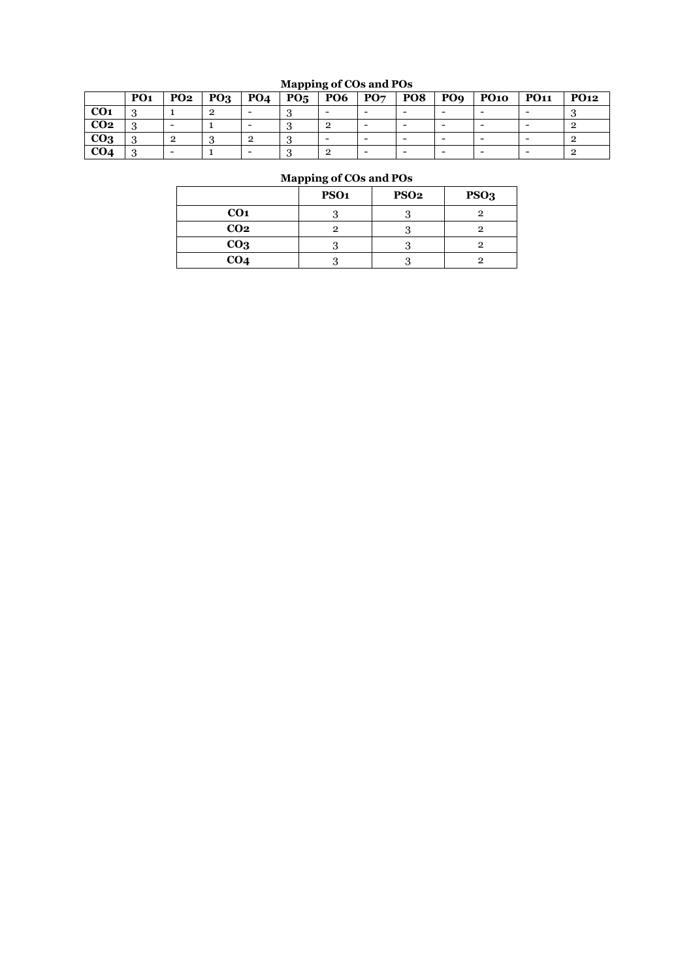## **Mapping of COs and POs**

|                 | PO <sub>1</sub> | <b>PO2</b> | PQ <sub>3</sub> | <b>PO4</b> | $P_{05}$ | $\overline{P06}$ | PO7 | PO8 | PO <sub>9</sub> | PO10 | <b>PO11</b> | <b>PO12</b> |
|-----------------|-----------------|------------|-----------------|------------|----------|------------------|-----|-----|-----------------|------|-------------|-------------|
| CO1             |                 |            |                 |            |          |                  |     |     |                 |      |             |             |
| CO <sub>2</sub> |                 |            |                 |            |          |                  |     |     |                 |      |             |             |
| CO <sub>3</sub> | ر.              |            |                 |            |          |                  |     |     |                 |      |             |             |
| CO <sub>4</sub> |                 |            |                 |            |          |                  |     |     |                 |      |             |             |

## **Mapping of COs and POs**

|                 | PSO <sub>1</sub> | <b>PSO2</b> | PSO <sub>3</sub> |
|-----------------|------------------|-------------|------------------|
| CO <sub>1</sub> |                  |             |                  |
| CO <sub>2</sub> |                  |             |                  |
| CO <sub>3</sub> |                  |             |                  |
| CO <sub>4</sub> |                  |             |                  |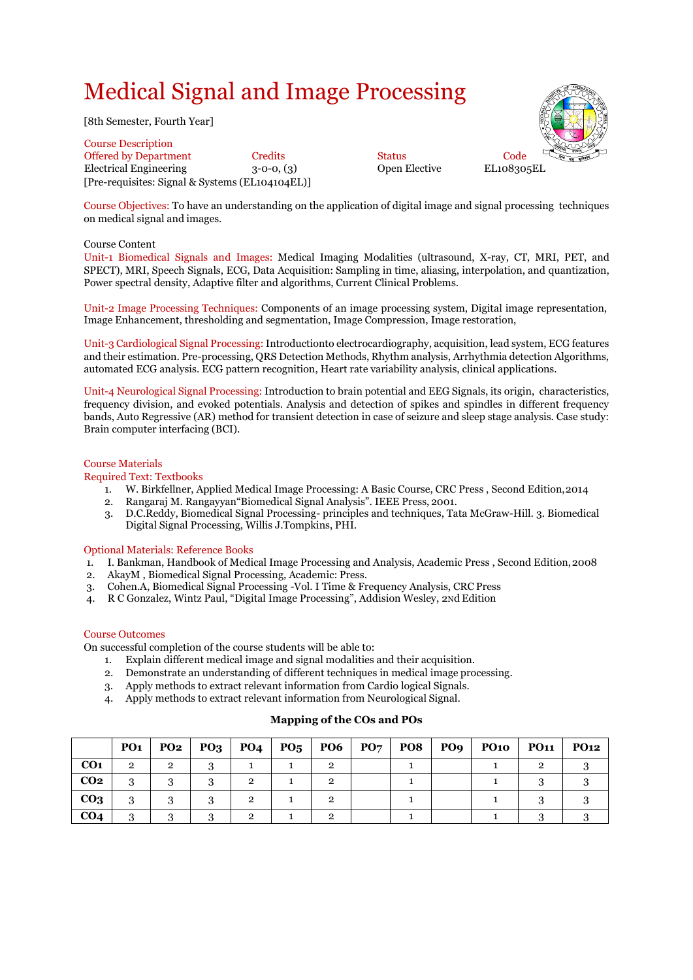# Medical Signal and Image Processing

[8th Semester, Fourth Year]

Course Description Offered by Department Credits Status Code Electrical Engineering 3-0-0, (3) Open Elective EL108305EL [Pre-requisites: Signal & Systems (EL104104EL)]

Course Objectives: To have an understanding on the application of digital image and signal processing techniques on medical signal and images.

## Course Content

Unit-1 Biomedical Signals and Images: Medical Imaging Modalities (ultrasound, X-ray, CT, MRI, PET, and SPECT), MRI, Speech Signals, ECG, Data Acquisition: Sampling in time, aliasing, interpolation, and quantization, Power spectral density, Adaptive filter and algorithms, Current Clinical Problems.

Unit-2 Image Processing Techniques: Components of an image processing system, Digital image representation, Image Enhancement, thresholding and segmentation, Image Compression, Image restoration,

Unit-3 Cardiological Signal Processing: Introductionto electrocardiography, acquisition, lead system, ECG features and their estimation. Pre-processing, QRS Detection Methods, Rhythm analysis, Arrhythmia detection Algorithms, automated ECG analysis. ECG pattern recognition, Heart rate variability analysis, clinical applications.

Unit-4 Neurological Signal Processing: Introduction to brain potential and EEG Signals, its origin, characteristics, frequency division, and evoked potentials. Analysis and detection of spikes and spindles in different frequency bands, Auto Regressive (AR) method for transient detection in case of seizure and sleep stage analysis. Case study: Brain computer interfacing (BCI).

## Course Materials

## Required Text: Textbooks

- 1. W. Birkfellner, Applied Medical Image Processing: A Basic Course, CRC Press , Second Edition,2014
- 2. Rangaraj M. Rangayyan"Biomedical Signal Analysis". IEEE Press, 2001.
- 3. D.C.Reddy, Biomedical Signal Processing- principles and techniques, Tata McGraw-Hill. 3. Biomedical Digital Signal Processing, Willis J.Tompkins, PHI.

## Optional Materials: Reference Books

- 1. I. Bankman, Handbook of Medical Image Processing and Analysis, Academic Press , Second Edition,2008
- 2. AkayM , Biomedical Signal Processing, Academic: Press.
- 3. Cohen.A, Biomedical Signal Processing -Vol. I Time & Frequency Analysis, CRC Press
- 4. R C Gonzalez, Wintz Paul, "Digital Image Processing", Addision Wesley, 2Nd Edition

## Course Outcomes

On successful completion of the course students will be able to:

- 1. Explain different medical image and signal modalities and their acquisition.
- 2. Demonstrate an understanding of different techniques in medical image processing.
- 3. Apply methods to extract relevant information from Cardio logical Signals.
- 4. Apply methods to extract relevant information from Neurological Signal.

## **Mapping of the COs and POs**

|                 | <b>PO1</b>     | <b>PO2</b> | $PQ3$ $PQ4$ | $\mid$ PO <sub>5</sub>   PO6   PO7 |  | $PO8$   $PO9$ | <b>PO10</b> | <b>PO11</b> | <b>PO12</b> |
|-----------------|----------------|------------|-------------|------------------------------------|--|---------------|-------------|-------------|-------------|
| CO <sub>1</sub> | $\overline{2}$ | 2          |             |                                    |  |               |             |             |             |
| CO <sub>2</sub> | 3              |            | റ           |                                    |  |               |             |             |             |
| CO <sub>3</sub> | 3              |            | റ           |                                    |  |               |             |             |             |
| CO <sub>4</sub> | 3              |            | റ           |                                    |  |               |             |             |             |